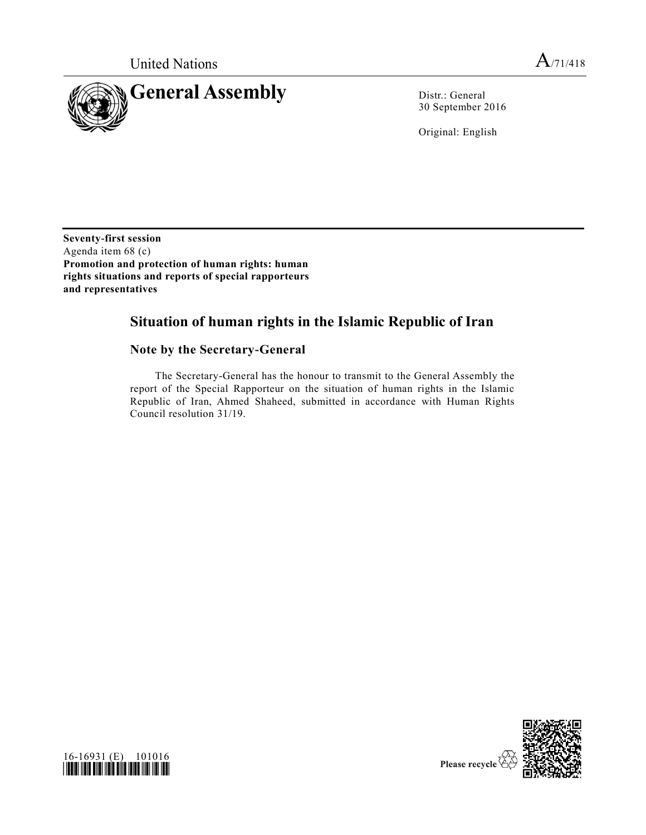

30 September 2016

Original: English

**Seventy-first session** Agenda item 68 (c) **Promotion and protection of human rights: human rights situations and reports of special rapporteurs and representatives**

# **Situation of human rights in the Islamic Republic of Iran**

# **Note by the Secretary-General**

The Secretary-General has the honour to transmit to the General Assembly the report of the Special Rapporteur on the situation of human rights in the Islamic Republic of Iran, Ahmed Shaheed, submitted in accordance with Human Rights Council resolution 31/19.



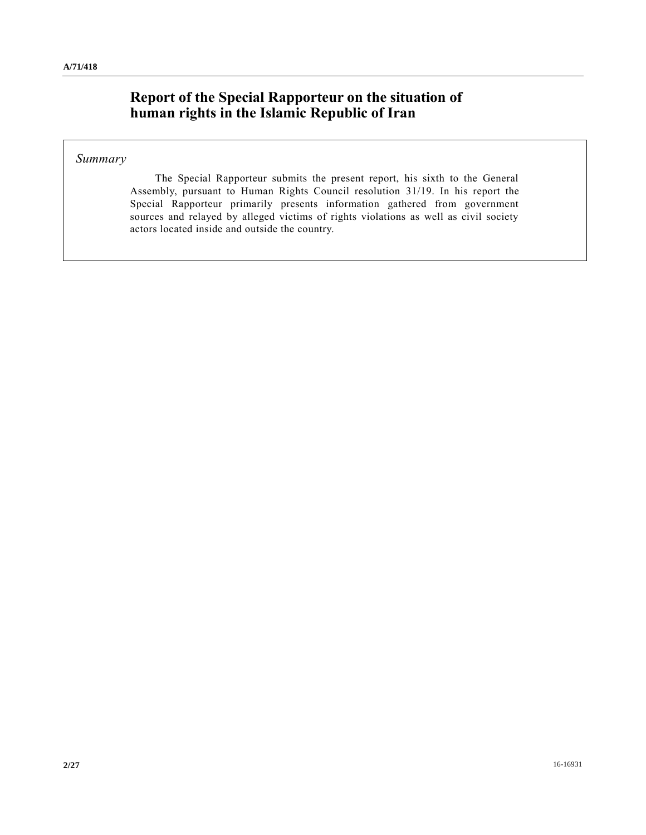# **Report of the Special Rapporteur on the situation of human rights in the Islamic Republic of Iran**

### *Summary*

The Special Rapporteur submits the present report, his sixth to the General Assembly, pursuant to Human Rights Council resolution 31/19. In his report the Special Rapporteur primarily presents information gathered from government sources and relayed by alleged victims of rights violations as well as civil society actors located inside and outside the country.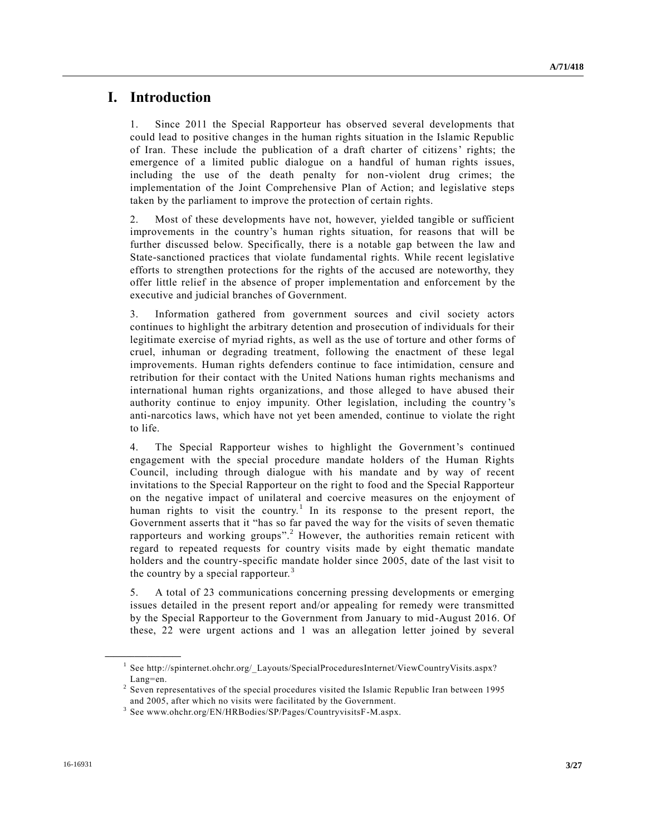# **I. Introduction**

1. Since 2011 the Special Rapporteur has observed several developments that could lead to positive changes in the human rights situation in the Islamic Republic of Iran. These include the publication of a draft charter of citizens' rights; the emergence of a limited public dialogue on a handful of human rights issues, including the use of the death penalty for non-violent drug crimes; the implementation of the Joint Comprehensive Plan of Action; and legislative steps taken by the parliament to improve the protection of certain rights.

2. Most of these developments have not, however, yielded tangible or sufficient improvements in the country's human rights situation, for reasons that will be further discussed below. Specifically, there is a notable gap between the law and State-sanctioned practices that violate fundamental rights. While recent legislative efforts to strengthen protections for the rights of the accused are noteworthy, they offer little relief in the absence of proper implementation and enforcement by the executive and judicial branches of Government.

3. Information gathered from government sources and civil society actors continues to highlight the arbitrary detention and prosecution of individuals for their legitimate exercise of myriad rights, as well as the use of torture and other forms of cruel, inhuman or degrading treatment, following the enactment of these legal improvements. Human rights defenders continue to face intimidation, censure and retribution for their contact with the United Nations human rights mechanisms and international human rights organizations, and those alleged to have abused their authority continue to enjoy impunity. Other legislation, including the country 's anti-narcotics laws, which have not yet been amended, continue to violate the right to life.

4. The Special Rapporteur wishes to highlight the Government's continued engagement with the special procedure mandate holders of the Human Rights Council, including through dialogue with his mandate and by way of recent invitations to the Special Rapporteur on the right to food and the Special Rapporteur on the negative impact of unilateral and coercive measures on the enjoyment of human rights to visit the country.<sup>1</sup> In its response to the present report, the Government asserts that it "has so far paved the way for the visits of seven thematic rapporteurs and working groups".<sup>2</sup> However, the authorities remain reticent with regard to repeated requests for country visits made by eight thematic mandate holders and the country-specific mandate holder since 2005, date of the last visit to the country by a special rapporteur.<sup>3</sup>

5. A total of 23 communications concerning pressing developments or emerging issues detailed in the present report and/or appealing for remedy were transmitted by the Special Rapporteur to the Government from January to mid-August 2016. Of these, 22 were urgent actions and 1 was an allegation letter joined by several

<sup>&</sup>lt;sup>1</sup> See http://spinternet.ohchr.org/ Layouts/SpecialProceduresInternet/ViewCountryVisits.aspx? Lang=en.

 $2^{2}$  Seven representatives of the special procedures visited the Islamic Republic Iran between 1995 and 2005, after which no visits were facilitated by the Government.

<sup>3</sup> See www.ohchr.org/EN/HRBodies/SP/Pages/CountryvisitsF-M.aspx.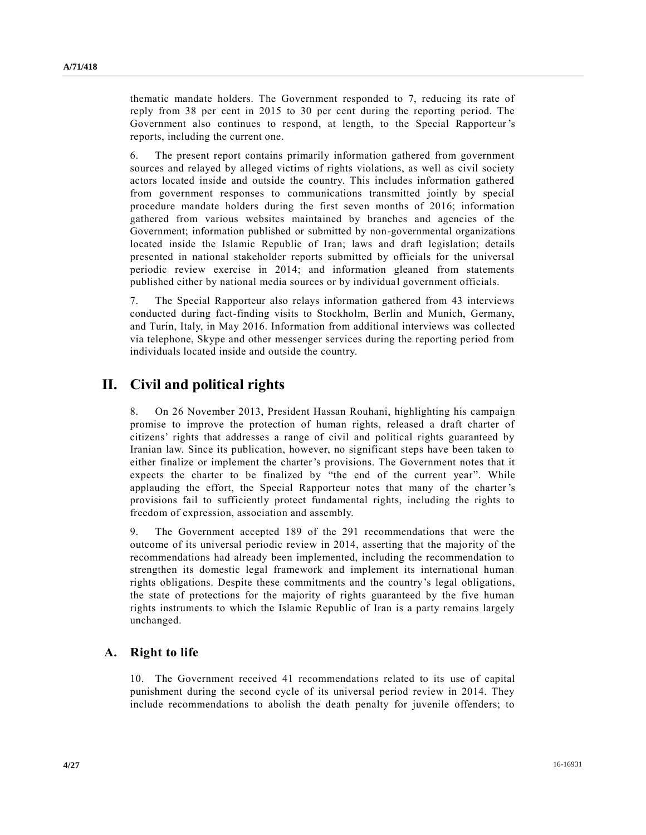thematic mandate holders. The Government responded to 7, reducing its rate of reply from 38 per cent in 2015 to 30 per cent during the reporting period. The Government also continues to respond, at length, to the Special Rapporteur's reports, including the current one.

6. The present report contains primarily information gathered from government sources and relayed by alleged victims of rights violations, as well as civil society actors located inside and outside the country. This includes information gathered from government responses to communications transmitted jointly by special procedure mandate holders during the first seven months of 2016; information gathered from various websites maintained by branches and agencies of the Government; information published or submitted by non-governmental organizations located inside the Islamic Republic of Iran; laws and draft legislation; details presented in national stakeholder reports submitted by officials for the universal periodic review exercise in 2014; and information gleaned from statements published either by national media sources or by individual government officials.

7. The Special Rapporteur also relays information gathered from 43 interviews conducted during fact-finding visits to Stockholm, Berlin and Munich, Germany, and Turin, Italy, in May 2016. Information from additional interviews was collected via telephone, Skype and other messenger services during the reporting period from individuals located inside and outside the country.

# **II. Civil and political rights**

8. On 26 November 2013, President Hassan Rouhani, highlighting his campaign promise to improve the protection of human rights, released a draft charter of citizens' rights that addresses a range of civil and political rights guaranteed by Iranian law. Since its publication, however, no significant steps have been taken to either finalize or implement the charter's provisions. The Government notes that it expects the charter to be finalized by "the end of the current year". While applauding the effort, the Special Rapporteur notes that many of the charter 's provisions fail to sufficiently protect fundamental rights, including the rights to freedom of expression, association and assembly.

9. The Government accepted 189 of the 291 recommendations that were the outcome of its universal periodic review in 2014, asserting that the majority of the recommendations had already been implemented, including the recommendation to strengthen its domestic legal framework and implement its international human rights obligations. Despite these commitments and the country's legal obligations, the state of protections for the majority of rights guaranteed by the five human rights instruments to which the Islamic Republic of Iran is a party remains largely unchanged.

### **A. Right to life**

10. The Government received 41 recommendations related to its use of capital punishment during the second cycle of its universal period review in 2014. They include recommendations to abolish the death penalty for juvenile offenders; to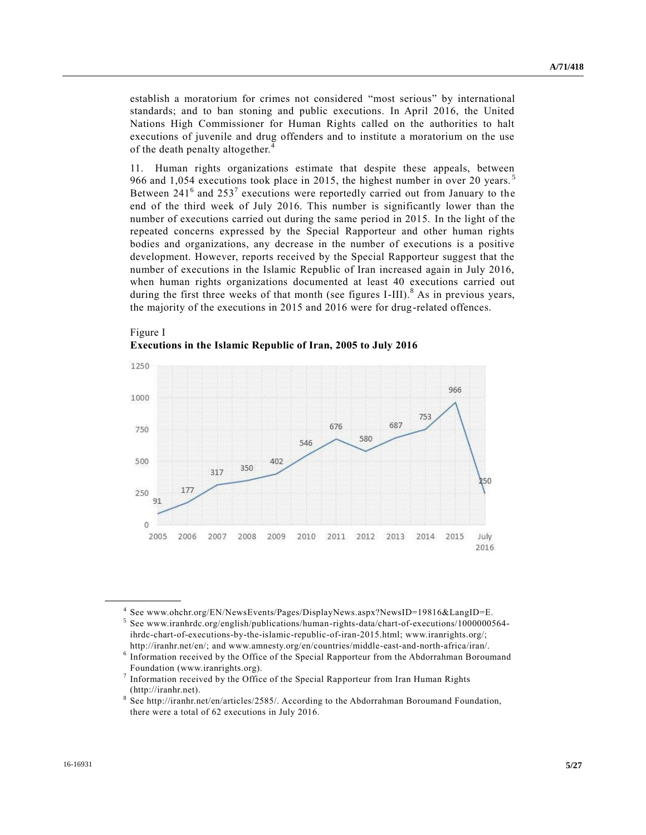establish a moratorium for crimes not considered "most serious" by international standards; and to ban stoning and public executions. In April 2016, the United Nations High Commissioner for Human Rights called on the authorities to halt executions of juvenile and drug offenders and to institute a moratorium on the use of the death penalty altogether.<sup>4</sup>

11. Human rights organizations estimate that despite these appeals, between 966 and 1,054 executions took place in 2015, the highest number in over 20 years.<sup>5</sup> Between  $241<sup>6</sup>$  and  $253<sup>7</sup>$  executions were reportedly carried out from January to the end of the third week of July 2016. This number is significantly lower than the number of executions carried out during the same period in 2015. In the light of the repeated concerns expressed by the Special Rapporteur and other human rights bodies and organizations, any decrease in the number of executions is a positive development. However, reports received by the Special Rapporteur suggest that the number of executions in the Islamic Republic of Iran increased again in July 2016, when human rights organizations documented at least 40 executions carried out during the first three weeks of that month (see figures I-III).<sup>8</sup> As in previous years, the majority of the executions in 2015 and 2016 were for drug-related offences.



Figure I **Executions in the Islamic Republic of Iran, 2005 to July 2016**

<sup>4</sup> See www.ohchr.org/EN/NewsEvents/Pages/DisplayNews.aspx?NewsID=19816&LangID=E.

<sup>5</sup> See www.iranhrdc.org/english/publications/human-rights-data/chart-of-executions/1000000564 ihrdc-chart-of-executions-by-the-islamic-republic-of-iran-2015.html; www.iranrights.org/; http://iranhr.net/en/; and www.amnesty.org/en/countries/middle-east-and-north-africa/iran/.

<sup>&</sup>lt;sup>6</sup> Information received by the Office of the Special Rapporteur from the Abdorrahman Boroumand Foundation (www.iranrights.org).

<sup>7</sup> Information received by the Office of the Special Rapporteur from Iran Human Rights (http://iranhr.net).

<sup>8</sup> See http://iranhr.net/en/articles/2585/. According to the Abdorrahman Boroumand Foundation, there were a total of 62 executions in July 2016.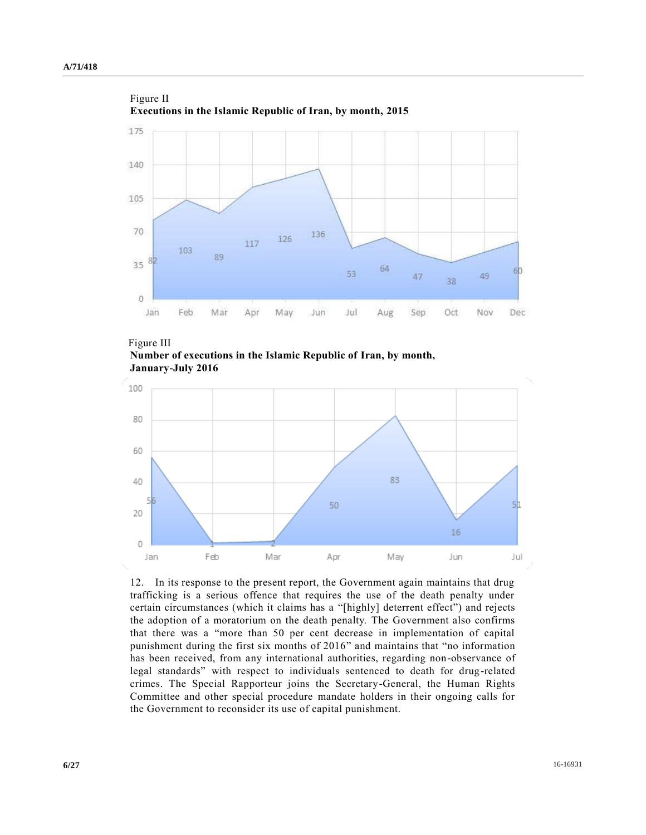



**Number of executions in the Islamic Republic of Iran, by month, January-July 2016**



12. In its response to the present report, the Government again maintains that drug trafficking is a serious offence that requires the use of the death penalty under certain circumstances (which it claims has a "[highly] deterrent effect") and rejects the adoption of a moratorium on the death penalty. The Government also confirms that there was a "more than 50 per cent decrease in implementation of capital punishment during the first six months of 2016" and maintains that "no information has been received, from any international authorities, regarding non-observance of legal standards" with respect to individuals sentenced to death for drug-related crimes. The Special Rapporteur joins the Secretary-General, the Human Rights Committee and other special procedure mandate holders in their ongoing calls for the Government to reconsider its use of capital punishment.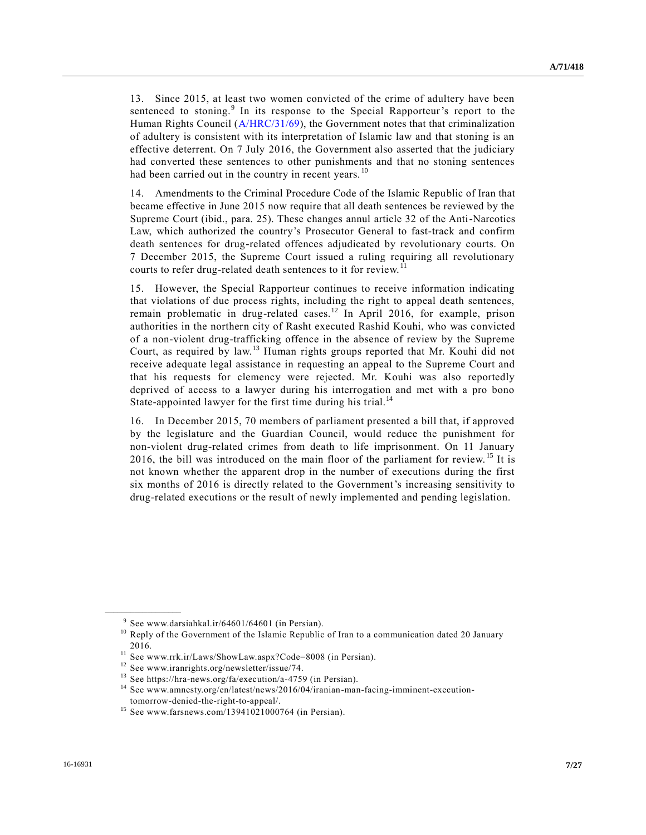13. Since 2015, at least two women convicted of the crime of adultery have been sentenced to stoning.<sup>9</sup> In its response to the Special Rapporteur's report to the Human Rights Council [\(A/HRC/31/69\)](http://undocs.org/A/HRC/31/69), the Government notes that that criminalization of adultery is consistent with its interpretation of Islamic law and that stoning is an effective deterrent. On 7 July 2016, the Government also asserted that the judiciary had converted these sentences to other punishments and that no stoning sentences had been carried out in the country in recent years.<sup>10</sup>

14. Amendments to the Criminal Procedure Code of the Islamic Republic of Iran that became effective in June 2015 now require that all death sentences be reviewed by the Supreme Court (ibid., para. 25). These changes annul article 32 of the Anti-Narcotics Law, which authorized the country's Prosecutor General to fast-track and confirm death sentences for drug-related offences adjudicated by revolutionary courts. On 7 December 2015, the Supreme Court issued a ruling requiring all revolutionary courts to refer drug-related death sentences to it for review.<sup>11</sup>

15. However, the Special Rapporteur continues to receive information indicating that violations of due process rights, including the right to appeal death sentences, remain problematic in drug-related cases.<sup>12</sup> In April 2016, for example, prison authorities in the northern city of Rasht executed Rashid Kouhi, who was convicted of a non-violent drug-trafficking offence in the absence of review by the Supreme Court, as required by law.<sup>13</sup> Human rights groups reported that Mr. Kouhi did not receive adequate legal assistance in requesting an appeal to the Supreme Court and that his requests for clemency were rejected. Mr. Kouhi was also reportedly deprived of access to a lawyer during his interrogation and met with a pro bono State-appointed lawyer for the first time during his trial.<sup>14</sup>

16. In December 2015, 70 members of parliament presented a bill that, if approved by the legislature and the Guardian Council, would reduce the punishment for non-violent drug-related crimes from death to life imprisonment. On 11 January 2016, the bill was introduced on the main floor of the parliament for review. <sup>15</sup> It is not known whether the apparent drop in the number of executions during the first six months of 2016 is directly related to the Government's increasing sensitivity to drug-related executions or the result of newly implemented and pending legislation.

<sup>9</sup> See www.darsiahkal.ir/64601/64601 (in Persian).

<sup>&</sup>lt;sup>10</sup> Reply of the Government of the Islamic Republic of Iran to a communication dated 20 January 2016.

<sup>11</sup> See www.rrk.ir/Laws/ShowLaw.aspx?Code=8008 (in Persian).

<sup>12</sup> See www.iranrights.org/newsletter/issue/74.

<sup>13</sup> See https://hra-news.org/fa/execution/a-4759 (in Persian).

<sup>14</sup> See www.amnesty.org/en/latest/news/2016/04/iranian-man-facing-imminent-executiontomorrow-denied-the-right-to-appeal/.

 $15$  See www.farsnews.com/13941021000764 (in Persian).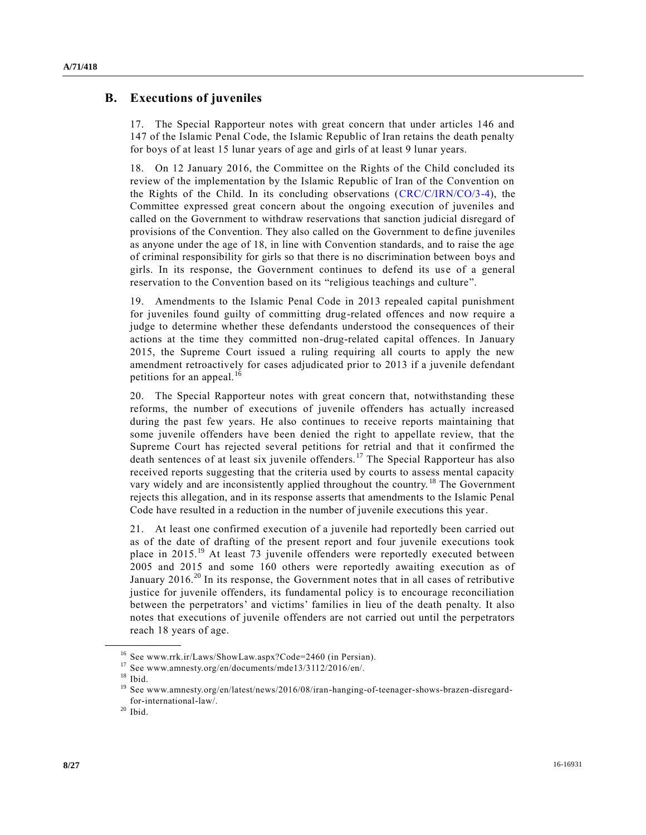### **B. Executions of juveniles**

17. The Special Rapporteur notes with great concern that under articles 146 and 147 of the Islamic Penal Code, the Islamic Republic of Iran retains the death penalty for boys of at least 15 lunar years of age and girls of at least 9 lunar years.

18. On 12 January 2016, the Committee on the Rights of the Child concluded its review of the implementation by the Islamic Republic of Iran of the Convention on the Rights of the Child. In its concluding observations [\(CRC/C/IRN/CO/3-4\)](http://undocs.org/CRC/C/IRN/CO/3), the Committee expressed great concern about the ongoing execution of juveniles and called on the Government to withdraw reservations that sanction judicial disregard of provisions of the Convention. They also called on the Government to define juveniles as anyone under the age of 18, in line with Convention standards, and to raise the age of criminal responsibility for girls so that there is no discrimination between boys and girls. In its response, the Government continues to defend its use of a general reservation to the Convention based on its "religious teachings and culture".

19. Amendments to the Islamic Penal Code in 2013 repealed capital punishment for juveniles found guilty of committing drug-related offences and now require a judge to determine whether these defendants understood the consequences of their actions at the time they committed non-drug-related capital offences. In January 2015, the Supreme Court issued a ruling requiring all courts to apply the new amendment retroactively for cases adjudicated prior to 2013 if a juvenile defendant petitions for an appeal. $16$ 

20. The Special Rapporteur notes with great concern that, notwithstanding these reforms, the number of executions of juvenile offenders has actually increased during the past few years. He also continues to receive reports maintaining that some juvenile offenders have been denied the right to appellate review, that the Supreme Court has rejected several petitions for retrial and that it confirmed the death sentences of at least six juvenile offenders.<sup>17</sup> The Special Rapporteur has also received reports suggesting that the criteria used by courts to assess mental capacity vary widely and are inconsistently applied throughout the country.<sup>18</sup> The Government rejects this allegation, and in its response asserts that amendments to the Islamic Penal Code have resulted in a reduction in the number of juvenile executions this year.

21. At least one confirmed execution of a juvenile had reportedly been carried out as of the date of drafting of the present report and four juvenile executions took place in 2015.<sup>19</sup> At least 73 juvenile offenders were reportedly executed between 2005 and 2015 and some 160 others were reportedly awaiting execution as of January 2016.<sup>20</sup> In its response, the Government notes that in all cases of retributive justice for juvenile offenders, its fundamental policy is to encourage reconciliation between the perpetrators' and victims' families in lieu of the death penalty. It also notes that executions of juvenile offenders are not carried out until the perpetrators reach 18 years of age.

<sup>16</sup> See www.rrk.ir/Laws/ShowLaw.aspx?Code=2460 (in Persian).

<sup>17</sup> See www.amnesty.org/en/documents/mde13/3112/2016/en/.

 $18$  Ibid.

<sup>19</sup> See www.amnesty.org/en/latest/news/2016/08/iran-hanging-of-teenager-shows-brazen-disregardfor-international-law/.

 $20$  Ibid.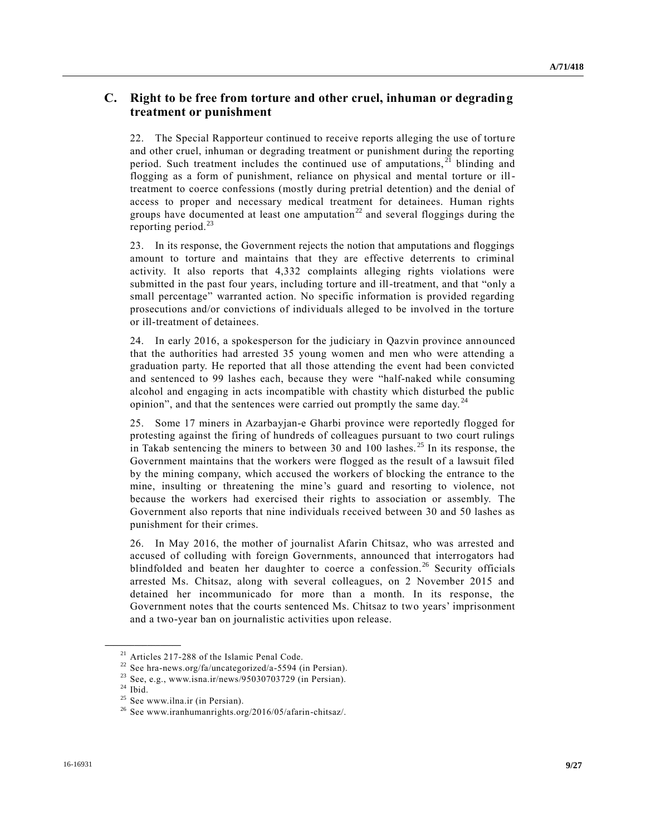# **C. Right to be free from torture and other cruel, inhuman or degrading treatment or punishment**

22. The Special Rapporteur continued to receive reports alleging the use of torture and other cruel, inhuman or degrading treatment or punishment during the reporting period. Such treatment includes the continued use of amputations,  $2^{\overline{1}}$  blinding and flogging as a form of punishment, reliance on physical and mental torture or illtreatment to coerce confessions (mostly during pretrial detention) and the denial of access to proper and necessary medical treatment for detainees. Human rights groups have documented at least one amputation<sup>22</sup> and several floggings during the reporting period. $^{23}$ 

23. In its response, the Government rejects the notion that amputations and floggings amount to torture and maintains that they are effective deterrents to criminal activity. It also reports that 4,332 complaints alleging rights violations were submitted in the past four years, including torture and ill-treatment, and that "only a small percentage" warranted action. No specific information is provided regarding prosecutions and/or convictions of individuals alleged to be involved in the torture or ill-treatment of detainees.

24. In early 2016, a spokesperson for the judiciary in Qazvin province announced that the authorities had arrested 35 young women and men who were attending a graduation party. He reported that all those attending the event had been convicted and sentenced to 99 lashes each, because they were "half-naked while consuming alcohol and engaging in acts incompatible with chastity which disturbed the public opinion", and that the sentences were carried out promptly the same day.  $24$ 

25. Some 17 miners in Azarbayjan-e Gharbi province were reportedly flogged for protesting against the firing of hundreds of colleagues pursuant to two court rulings in Takab sentencing the miners to between 30 and 100 lashes. <sup>25</sup> In its response, the Government maintains that the workers were flogged as the result of a lawsuit filed by the mining company, which accused the workers of blocking the entrance to the mine, insulting or threatening the mine's guard and resorting to violence, not because the workers had exercised their rights to association or assembly. The Government also reports that nine individuals received between 30 and 50 lashes as punishment for their crimes.

26. In May 2016, the mother of journalist Afarin Chitsaz, who was arrested and accused of colluding with foreign Governments, announced that interrogators had blindfolded and beaten her daughter to coerce a confession.<sup>26</sup> Security officials arrested Ms. Chitsaz, along with several colleagues, on 2 November 2015 and detained her incommunicado for more than a month. In its response, the Government notes that the courts sentenced Ms. Chitsaz to two years' imprisonment and a two-year ban on journalistic activities upon release.

<sup>21</sup> Articles 217-288 of the Islamic Penal Code.

<sup>&</sup>lt;sup>22</sup> See hra-news.org/fa/uncategorized/a-5594 (in Persian).

<sup>&</sup>lt;sup>23</sup> See, e.g., www.isna.ir/news/95030703729 (in Persian).

 $24$  Ibid.

<sup>&</sup>lt;sup>25</sup> See www.ilna.ir (in Persian).

<sup>26</sup> See www.iranhumanrights.org/2016/05/afarin-chitsaz/.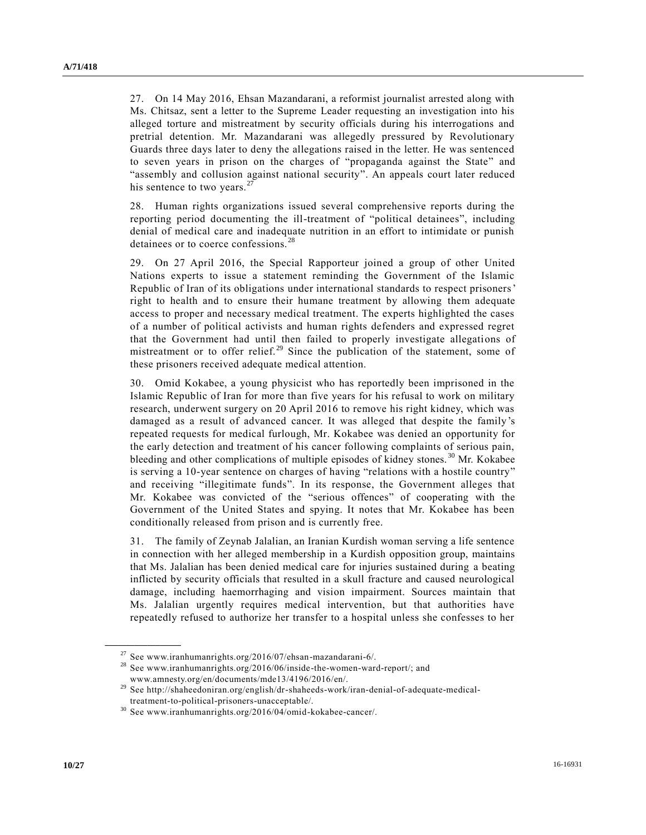27. On 14 May 2016, Ehsan Mazandarani, a reformist journalist arrested along with Ms. Chitsaz, sent a letter to the Supreme Leader requesting an investigation into his alleged torture and mistreatment by security officials during his interrogations and pretrial detention. Mr. Mazandarani was allegedly pressured by Revolutionary Guards three days later to deny the allegations raised in the letter. He was sentenced to seven years in prison on the charges of "propaganda against the State" and "assembly and collusion against national security". An appeals court later reduced his sentence to two years. $27$ 

28. Human rights organizations issued several comprehensive reports during the reporting period documenting the ill-treatment of "political detainees", including denial of medical care and inadequate nutrition in an effort to intimidate or punish detainees or to coerce confessions.<sup>28</sup>

29. On 27 April 2016, the Special Rapporteur joined a group of other United Nations experts to issue a statement reminding the Government of the Islamic Republic of Iran of its obligations under international standards to respect prisoners' right to health and to ensure their humane treatment by allowing them adequate access to proper and necessary medical treatment. The experts highlighted the cases of a number of political activists and human rights defenders and expressed regret that the Government had until then failed to properly investigate allegations of mistreatment or to offer relief.<sup>29</sup> Since the publication of the statement, some of these prisoners received adequate medical attention.

30. Omid Kokabee, a young physicist who has reportedly been imprisoned in the Islamic Republic of Iran for more than five years for his refusal to work on military research, underwent surgery on 20 April 2016 to remove his right kidney, which was damaged as a result of advanced cancer. It was alleged that despite the family's repeated requests for medical furlough, Mr. Kokabee was denied an opportunity for the early detection and treatment of his cancer following complaints of serious pain, bleeding and other complications of multiple episodes of kidney stones.<sup>30</sup> Mr. Kokabee is serving a 10-year sentence on charges of having "relations with a hostile country" and receiving "illegitimate funds". In its response, the Government alleges that Mr. Kokabee was convicted of the "serious offences" of cooperating with the Government of the United States and spying. It notes that Mr. Kokabee has been conditionally released from prison and is currently free.

31. The family of Zeynab Jalalian, an Iranian Kurdish woman serving a life sentence in connection with her alleged membership in a Kurdish opposition group, maintains that Ms. Jalalian has been denied medical care for injuries sustained during a beating inflicted by security officials that resulted in a skull fracture and caused neurological damage, including haemorrhaging and vision impairment. Sources maintain that Ms. Jalalian urgently requires medical intervention, but that authorities have repeatedly refused to authorize her transfer to a hospital unless she confesses to her

 $27$  See www.iranhumanrights.org/2016/07/ehsan-mazandarani-6/.

<sup>28</sup> See www.iranhumanrights.org/2016/06/inside-the-women-ward-report/; and www.amnesty.org/en/documents/mde13/4196/2016/en/.

<sup>29</sup> See http://shaheedoniran.org/english/dr-shaheeds-work/iran-denial-of-adequate-medical-

treatment-to-political-prisoners-unacceptable/.

<sup>30</sup> See www.iranhumanrights.org/2016/04/omid-kokabee-cancer/.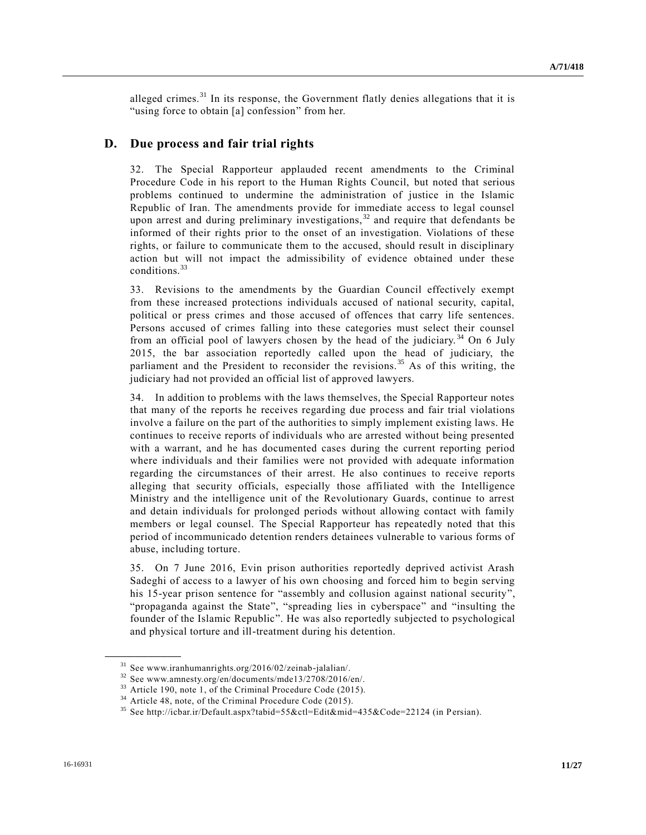alleged crimes.<sup>31</sup> In its response, the Government flatly denies allegations that it is "using force to obtain [a] confession" from her.

#### **D. Due process and fair trial rights**

32. The Special Rapporteur applauded recent amendments to the Criminal Procedure Code in his report to the Human Rights Council, but noted that serious problems continued to undermine the administration of justice in the Islamic Republic of Iran. The amendments provide for immediate access to legal counsel upon arrest and during preliminary investigations,  $32$  and require that defendants be informed of their rights prior to the onset of an investigation. Violations of these rights, or failure to communicate them to the accused, should result in disciplinary action but will not impact the admissibility of evidence obtained under these conditions.<sup>33</sup>

33. Revisions to the amendments by the Guardian Council effectively exempt from these increased protections individuals accused of national security, capital, political or press crimes and those accused of offences that carry life sentences. Persons accused of crimes falling into these categories must select their counsel from an official pool of lawyers chosen by the head of the judiciary. <sup>34</sup> On 6 July 2015, the bar association reportedly called upon the head of judiciary, the parliament and the President to reconsider the revisions.<sup>35</sup> As of this writing, the judiciary had not provided an official list of approved lawyers.

34. In addition to problems with the laws themselves, the Special Rapporteur notes that many of the reports he receives regarding due process and fair trial violations involve a failure on the part of the authorities to simply implement existing laws. He continues to receive reports of individuals who are arrested without being presented with a warrant, and he has documented cases during the current reporting period where individuals and their families were not provided with adequate information regarding the circumstances of their arrest. He also continues to receive reports alleging that security officials, especially those affiliated with the Intelligence Ministry and the intelligence unit of the Revolutionary Guards, continue to arrest and detain individuals for prolonged periods without allowing contact with family members or legal counsel. The Special Rapporteur has repeatedly noted that this period of incommunicado detention renders detainees vulnerable to various forms of abuse, including torture.

35. On 7 June 2016, Evin prison authorities reportedly deprived activist Arash Sadeghi of access to a lawyer of his own choosing and forced him to begin serving his 15-year prison sentence for "assembly and collusion against national security", "propaganda against the State", "spreading lies in cyberspace" and "insulting the founder of the Islamic Republic". He was also reportedly subjected to psychological and physical torture and ill-treatment during his detention.

<sup>31</sup> See www.iranhumanrights.org/2016/02/zeinab-jalalian/.

<sup>32</sup> See www.amnesty.org/en/documents/mde13/2708/2016/en/.

<sup>&</sup>lt;sup>33</sup> Article 190, note 1, of the Criminal Procedure Code (2015).

<sup>34</sup> Article 48, note, of the Criminal Procedure Code (2015).

<sup>35</sup> See http://icbar.ir/Default.aspx?tabid=55&ctl=Edit&mid=435&Code=22124 (in Persian).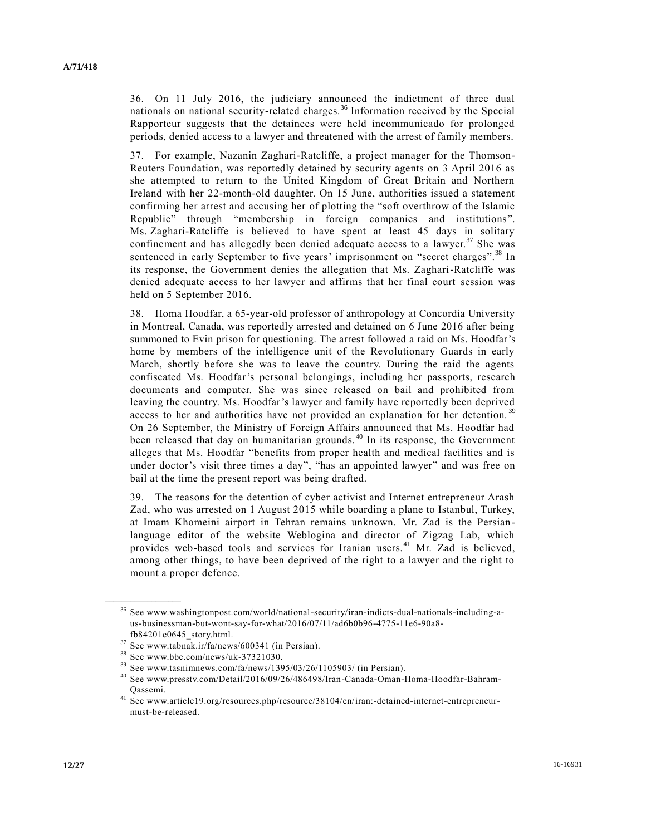36. On 11 July 2016, the judiciary announced the indictment of three dual nationals on national security-related charges.<sup>36</sup> Information received by the Special Rapporteur suggests that the detainees were held incommunicado for prolonged periods, denied access to a lawyer and threatened with the arrest of family members.

37. For example, Nazanin Zaghari-Ratcliffe, a project manager for the Thomson-Reuters Foundation, was reportedly detained by security agents on 3 April 2016 as she attempted to return to the United Kingdom of Great Britain and Northern Ireland with her 22-month-old daughter. On 15 June, authorities issued a statement confirming her arrest and accusing her of plotting the "soft overthrow of the Islamic Republic" through "membership in foreign companies and institutions". Ms. Zaghari-Ratcliffe is believed to have spent at least 45 days in solitary confinement and has allegedly been denied adequate access to a lawyer. $37$  She was sentenced in early September to five years' imprisonment on "secret charges".<sup>38</sup> In its response, the Government denies the allegation that Ms. Zaghari-Ratcliffe was denied adequate access to her lawyer and affirms that her final court session was held on 5 September 2016.

38. Homa Hoodfar, a 65-year-old professor of anthropology at Concordia University in Montreal, Canada, was reportedly arrested and detained on 6 June 2016 after being summoned to Evin prison for questioning. The arrest followed a raid on Ms. Hoodfar's home by members of the intelligence unit of the Revolutionary Guards in early March, shortly before she was to leave the country. During the raid the agents confiscated Ms. Hoodfar's personal belongings, including her passports, research documents and computer. She was since released on bail and prohibited from leaving the country. Ms. Hoodfar's lawyer and family have reportedly been deprived access to her and authorities have not provided an explanation for her detention.<sup>39</sup> On 26 September, the Ministry of Foreign Affairs announced that Ms. Hoodfar had been released that day on humanitarian grounds. <sup>40</sup> In its response, the Government alleges that Ms. Hoodfar "benefits from proper health and medical facilities and is under doctor's visit three times a day", "has an appointed lawyer" and was free on bail at the time the present report was being drafted.

39. The reasons for the detention of cyber activist and Internet entrepreneur Arash Zad, who was arrested on 1 August 2015 while boarding a plane to Istanbul, Turkey, at Imam Khomeini airport in Tehran remains unknown. Mr. Zad is the Persian language editor of the website Weblogina and director of Zigzag Lab, which provides web-based tools and services for Iranian users.<sup>41</sup> Mr. Zad is believed, among other things, to have been deprived of the right to a lawyer and the right to mount a proper defence.

<sup>36</sup> See www.washingtonpost.com/world/national-security/iran-indicts-dual-nationals-including-aus-businessman-but-wont-say-for-what/2016/07/11/ad6b0b96-4775-11e6-90a8 fb84201e0645\_story.html.

 $37$  See www.tabnak.ir/fa/news/600341 (in Persian).

<sup>38</sup> See www.bbc.com/news/uk-37321030.

 $39$  See www.tasnimnews.com/fa/news/1395/03/26/1105903/ (in Persian).

<sup>40</sup> See www.presstv.com/Detail/2016/09/26/486498/Iran-Canada-Oman-Homa-Hoodfar-Bahram-Qassemi.

<sup>41</sup> See www.article19.org/resources.php/resource/38104/en/iran:-detained-internet-entrepreneurmust-be-released.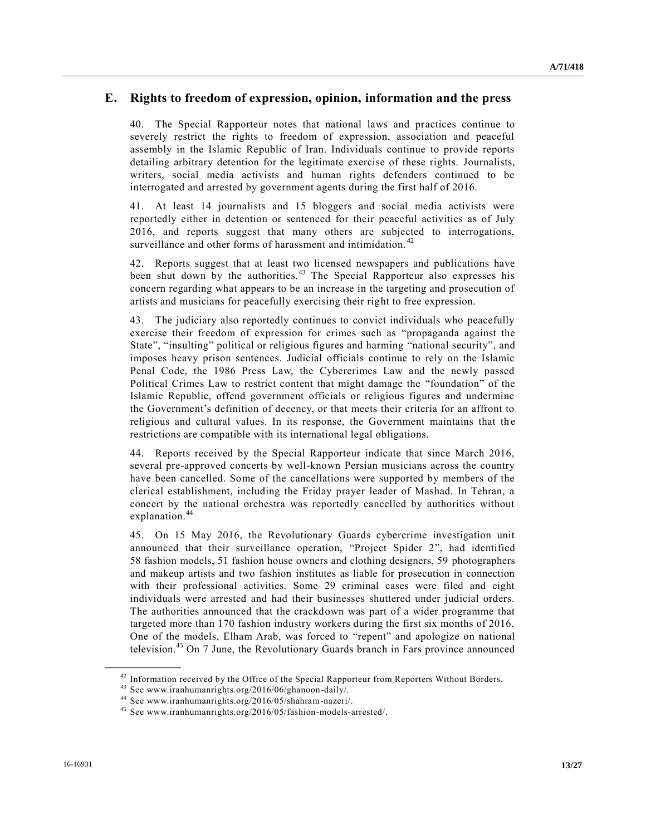### **E. Rights to freedom of expression, opinion, information and the press**

40. The Special Rapporteur notes that national laws and practices continue to severely restrict the rights to freedom of expression, association and peaceful assembly in the Islamic Republic of Iran. Individuals continue to provide reports detailing arbitrary detention for the legitimate exercise of these rights. Journalists, writers, social media activists and human rights defenders continued to be interrogated and arrested by government agents during the first half of 2016.

41. At least 14 journalists and 15 bloggers and social media activists were reportedly either in detention or sentenced for their peaceful activities as of July 2016, and reports suggest that many others are subjected to interrogations, surveillance and other forms of harassment and intimidation.<sup>42</sup>

42. Reports suggest that at least two licensed newspapers and publications have been shut down by the authorities.<sup>43</sup> The Special Rapporteur also expresses his concern regarding what appears to be an increase in the targeting and prosecution of artists and musicians for peacefully exercising their right to free expression.

43. The judiciary also reportedly continues to convict individuals who peacefully exercise their freedom of expression for crimes such as "propaganda against the State", "insulting" political or religious figures and harming "national security", and imposes heavy prison sentences. Judicial officials continue to rely on the Islamic Penal Code, the 1986 Press Law, the Cybercrimes Law and the newly passed Political Crimes Law to restrict content that might damage the "foundation" of the Islamic Republic, offend government officials or religious figures and undermine the Government's definition of decency, or that meets their criteria for an affront to religious and cultural values. In its response, the Government maintains that the restrictions are compatible with its international legal obligations.

44. Reports received by the Special Rapporteur indicate that since March 2016, several pre-approved concerts by well-known Persian musicians across the country have been cancelled. Some of the cancellations were supported by members of the clerical establishment, including the Friday prayer leader of Mashad. In Tehran, a concert by the national orchestra was reportedly cancelled by authorities without explanation.<sup>44</sup>

45. On 15 May 2016, the Revolutionary Guards cybercrime investigation unit announced that their surveillance operation, "Project Spider 2", had identified 58 fashion models, 51 fashion house owners and clothing designers, 59 photographers and makeup artists and two fashion institutes as liable for prosecution in connection with their professional activities. Some 29 criminal cases were filed and eight individuals were arrested and had their businesses shuttered under judicial orders. The authorities announced that the crackdown was part of a wider programme that targeted more than 170 fashion industry workers during the first six months of 2016. One of the models, Elham Arab, was forced to "repent" and apologize on national television.<sup>45</sup> On 7 June, the Revolutionary Guards branch in Fars province announced

<sup>&</sup>lt;sup>42</sup> Information received by the Office of the Special Rapporteur from Reporters Without Borders.

<sup>43</sup> See www.iranhumanrights.org/2016/06/ghanoon-daily/.

<sup>44</sup> See www.iranhumanrights.org/2016/05/shahram-nazeri/.

<sup>45</sup> See www.iranhumanrights.org/2016/05/fashion-models-arrested/.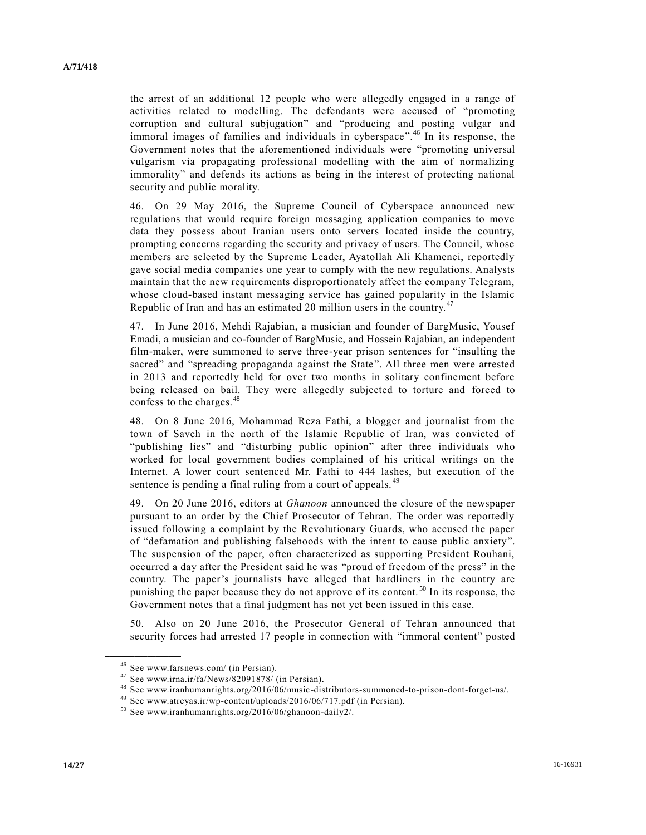the arrest of an additional 12 people who were allegedly engaged in a range of activities related to modelling. The defendants were accused of "promoting corruption and cultural subjugation" and "producing and posting vulgar and immoral images of families and individuals in cyberspace".<sup>46</sup> In its response, the Government notes that the aforementioned individuals were "promoting universal vulgarism via propagating professional modelling with the aim of normalizing immorality" and defends its actions as being in the interest of protecting national security and public morality.

46. On 29 May 2016, the Supreme Council of Cyberspace announced new regulations that would require foreign messaging application companies to move data they possess about Iranian users onto servers located inside the country, prompting concerns regarding the security and privacy of users. The Council, whose members are selected by the Supreme Leader, Ayatollah Ali Khamenei, reportedly gave social media companies one year to comply with the new regulations. Analysts maintain that the new requirements disproportionately affect the company Telegram, whose cloud-based instant messaging service has gained popularity in the Islamic Republic of Iran and has an estimated 20 million users in the country.<sup>47</sup>

47. In June 2016, Mehdi Rajabian, a musician and founder of BargMusic, Yousef Emadi, a musician and co-founder of BargMusic, and Hossein Rajabian, an independent film-maker, were summoned to serve three-year prison sentences for "insulting the sacred" and "spreading propaganda against the State". All three men were arrested in 2013 and reportedly held for over two months in solitary confinement before being released on bail. They were allegedly subjected to torture and forced to confess to the charges.<sup>48</sup>

48. On 8 June 2016, Mohammad Reza Fathi, a blogger and journalist from the town of Saveh in the north of the Islamic Republic of Iran, was convicted of "publishing lies" and "disturbing public opinion" after three individuals who worked for local government bodies complained of his critical writings on the Internet. A lower court sentenced Mr. Fathi to 444 lashes, but execution of the sentence is pending a final ruling from a court of appeals.<sup>49</sup>

49. On 20 June 2016, editors at *Ghanoon* announced the closure of the newspaper pursuant to an order by the Chief Prosecutor of Tehran. The order was reportedly issued following a complaint by the Revolutionary Guards, who accused the paper of "defamation and publishing falsehoods with the intent to cause public anxiety". The suspension of the paper, often characterized as supporting President Rouhani, occurred a day after the President said he was "proud of freedom of the press" in the country. The paper's journalists have alleged that hardliners in the country are punishing the paper because they do not approve of its content. <sup>50</sup> In its response, the Government notes that a final judgment has not yet been issued in this case.

50. Also on 20 June 2016, the Prosecutor General of Tehran announced that security forces had arrested 17 people in connection with "immoral content" posted

<sup>46</sup> See www.farsnews.com/ (in Persian).

<sup>47</sup> See www.irna.ir/fa/News/82091878/ (in Persian).

<sup>48</sup> See www.iranhumanrights.org/2016/06/music-distributors-summoned-to-prison-dont-forget-us/.

<sup>49</sup> See www.atreyas.ir/wp-content/uploads/2016/06/717.pdf (in Persian).

<sup>50</sup> See www.iranhumanrights.org/2016/06/ghanoon-daily2/.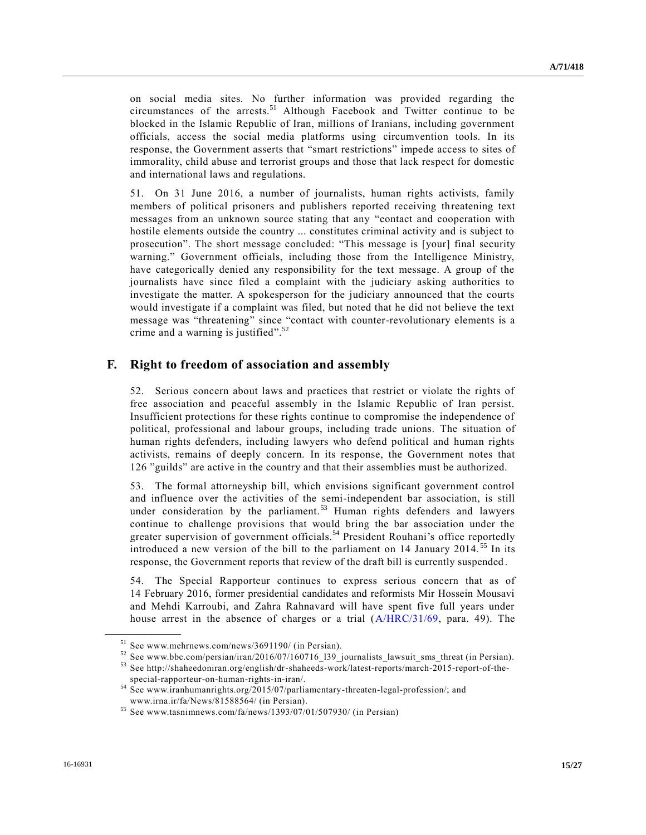on social media sites. No further information was provided regarding the circumstances of the arrests.<sup>51</sup> Although Facebook and Twitter continue to be blocked in the Islamic Republic of Iran, millions of Iranians, including government officials, access the social media platforms using circumvention tools. In its response, the Government asserts that "smart restrictions" impede access to sites of immorality, child abuse and terrorist groups and those that lack respect for domestic and international laws and regulations.

51. On 31 June 2016, a number of journalists, human rights activists, family members of political prisoners and publishers reported receiving threatening text messages from an unknown source stating that any "contact and cooperation with hostile elements outside the country ... constitutes criminal activity and is subject to prosecution". The short message concluded: "This message is [your] final security warning." Government officials, including those from the Intelligence Ministry, have categorically denied any responsibility for the text message. A group of the journalists have since filed a complaint with the judiciary asking authorities to investigate the matter. A spokesperson for the judiciary announced that the courts would investigate if a complaint was filed, but noted that he did not believe the text message was "threatening" since "contact with counter-revolutionary elements is a crime and a warning is justified".<sup>52</sup>

### **F. Right to freedom of association and assembly**

52. Serious concern about laws and practices that restrict or violate the rights of free association and peaceful assembly in the Islamic Republic of Iran persist. Insufficient protections for these rights continue to compromise the independence of political, professional and labour groups, including trade unions. The situation of human rights defenders, including lawyers who defend political and human rights activists, remains of deeply concern. In its response, the Government notes that 126 "guilds" are active in the country and that their assemblies must be authorized.

53. The formal attorneyship bill, which envisions significant government control and influence over the activities of the semi-independent bar association, is still under consideration by the parliament.<sup>53</sup> Human rights defenders and lawyers continue to challenge provisions that would bring the bar association under the greater supervision of government officials.<sup>54</sup> President Rouhani's office reportedly introduced a new version of the bill to the parliament on  $14$  January  $2014$ .<sup>55</sup> In its response, the Government reports that review of the draft bill is currently suspended .

54. The Special Rapporteur continues to express serious concern that as of 14 February 2016, former presidential candidates and reformists Mir Hossein Mousavi and Mehdi Karroubi, and Zahra Rahnavard will have spent five full years under house arrest in the absence of charges or a trial [\(A/HRC/31/69,](http://undocs.org/A/HRC/31/69) para. 49). The

<sup>51</sup> See www.mehrnews.com/news/3691190/ (in Persian).

<sup>52</sup> See www.bbc.com/persian/iran/2016/07/160716\_l39\_journalists\_lawsuit\_sms\_threat (in Persian).

<sup>53</sup> See http://shaheedoniran.org/english/dr-shaheeds-work/latest-reports/march-2015-report-of-thespecial-rapporteur-on-human-rights-in-iran/.

<sup>54</sup> See www.iranhumanrights.org/2015/07/parliamentary-threaten-legal-profession/; and www.irna.ir/fa/News/81588564/ (in Persian).

<sup>55</sup> See www.tasnimnews.com/fa/news/1393/07/01/507930/ (in Persian)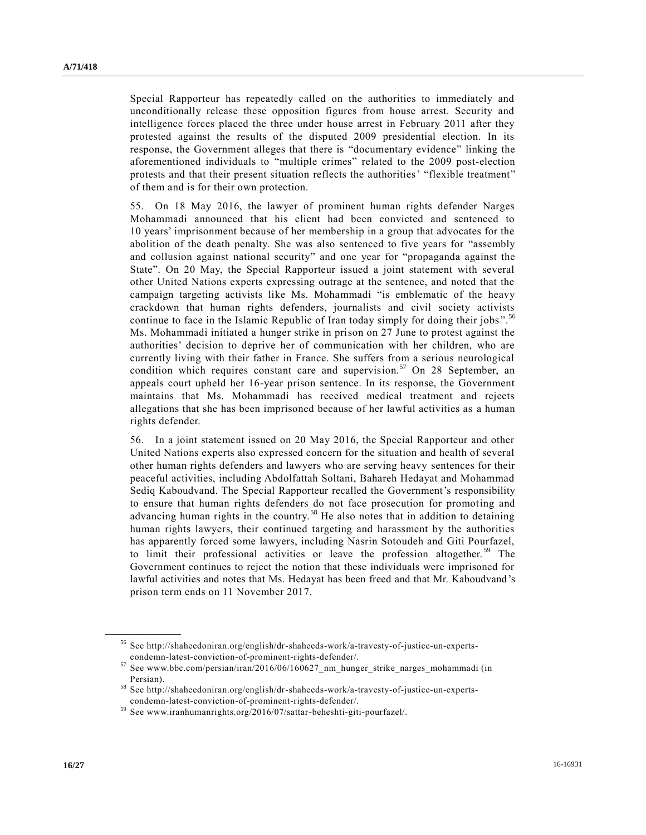Special Rapporteur has repeatedly called on the authorities to immediately and unconditionally release these opposition figures from house arrest. Security and intelligence forces placed the three under house arrest in February 2011 after they protested against the results of the disputed 2009 presidential election. In its response, the Government alleges that there is "documentary evidence" linking the aforementioned individuals to "multiple crimes" related to the 2009 post-election protests and that their present situation reflects the authorities' "flexible treatment" of them and is for their own protection.

55. On 18 May 2016, the lawyer of prominent human rights defender Narges Mohammadi announced that his client had been convicted and sentenced to 10 years' imprisonment because of her membership in a group that advocates for the abolition of the death penalty. She was also sentenced to five years for "assembly and collusion against national security" and one year for "propaganda against the State". On 20 May, the Special Rapporteur issued a joint statement with several other United Nations experts expressing outrage at the sentence, and noted that the campaign targeting activists like Ms. Mohammadi "is emblematic of the heavy crackdown that human rights defenders, journalists and civil society activists continue to face in the Islamic Republic of Iran today simply for doing their jobs".<sup>56</sup> Ms. Mohammadi initiated a hunger strike in prison on 27 June to protest against the authorities' decision to deprive her of communication with her children, who are currently living with their father in France. She suffers from a serious neurological condition which requires constant care and supervision.<sup>57</sup> On 28 September, an appeals court upheld her 16-year prison sentence. In its response, the Government maintains that Ms. Mohammadi has received medical treatment and rejects allegations that she has been imprisoned because of her lawful activities as a human rights defender.

56. In a joint statement issued on 20 May 2016, the Special Rapporteur and other United Nations experts also expressed concern for the situation and health of several other human rights defenders and lawyers who are serving heavy sentences for their peaceful activities, including Abdolfattah Soltani, Bahareh Hedayat and Mohammad Sediq Kaboudvand. The Special Rapporteur recalled the Government's responsibility to ensure that human rights defenders do not face prosecution for promoting and advancing human rights in the country.<sup>58</sup> He also notes that in addition to detaining human rights lawyers, their continued targeting and harassment by the authorities has apparently forced some lawyers, including Nasrin Sotoudeh and Giti Pourfazel, to limit their professional activities or leave the profession altogether.<sup>59</sup> The Government continues to reject the notion that these individuals were imprisoned for lawful activities and notes that Ms. Hedayat has been freed and that Mr. Kaboudvand's prison term ends on 11 November 2017.

<sup>56</sup> See http://shaheedoniran.org/english/dr-shaheeds-work/a-travesty-of-justice-un-expertscondemn-latest-conviction-of-prominent-rights-defender/.

<sup>57</sup> See www.bbc.com/persian/iran/2016/06/160627\_nm\_hunger\_strike\_narges\_mohammadi (in Persian).

<sup>58</sup> See http://shaheedoniran.org/english/dr-shaheeds-work/a-travesty-of-justice-un-expertscondemn-latest-conviction-of-prominent-rights-defender/.

<sup>59</sup> See www.iranhumanrights.org/2016/07/sattar-beheshti-giti-pourfazel/.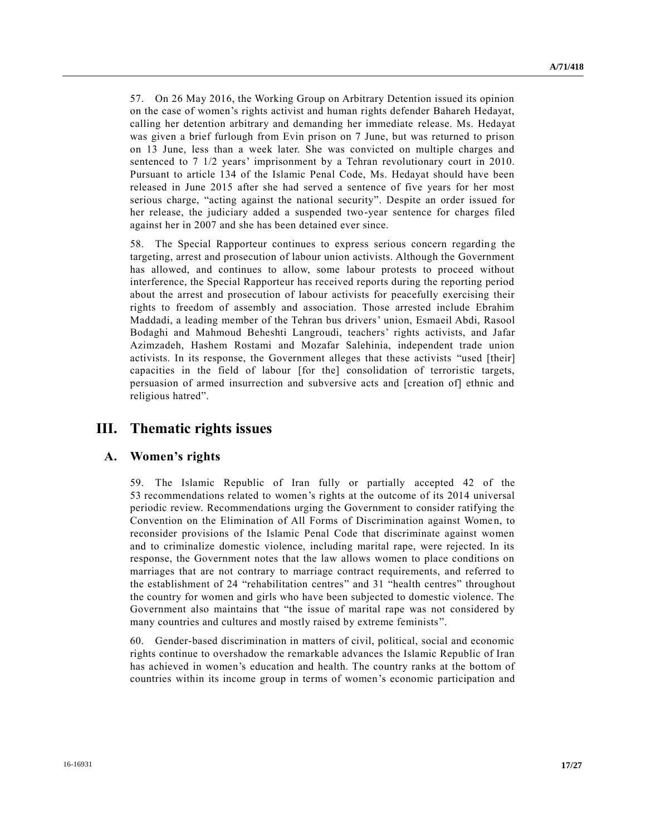57. On 26 May 2016, the Working Group on Arbitrary Detention issued its opinion on the case of women's rights activist and human rights defender Bahareh Hedayat, calling her detention arbitrary and demanding her immediate release. Ms. Hedayat was given a brief furlough from Evin prison on 7 June, but was returned to prison on 13 June, less than a week later. She was convicted on multiple charges and sentenced to 7 1/2 years' imprisonment by a Tehran revolutionary court in 2010. Pursuant to article 134 of the Islamic Penal Code, Ms. Hedayat should have been released in June 2015 after she had served a sentence of five years for her most serious charge, "acting against the national security". Despite an order issued for her release, the judiciary added a suspended two-year sentence for charges filed against her in 2007 and she has been detained ever since.

58. The Special Rapporteur continues to express serious concern regarding the targeting, arrest and prosecution of labour union activists. Although the Government has allowed, and continues to allow, some labour protests to proceed without interference, the Special Rapporteur has received reports during the reporting period about the arrest and prosecution of labour activists for peacefully exercising their rights to freedom of assembly and association. Those arrested include Ebrahim Maddadi, a leading member of the Tehran bus drivers' union, Esmaeil Abdi, Rasool Bodaghi and Mahmoud Beheshti Langroudi, teachers' rights activists, and Jafar Azimzadeh, Hashem Rostami and Mozafar Salehinia, independent trade union activists. In its response, the Government alleges that these activists "used [their] capacities in the field of labour [for the] consolidation of terroristic targets, persuasion of armed insurrection and subversive acts and [creation of] ethnic and religious hatred".

# **III. Thematic rights issues**

### **A. Women's rights**

59. The Islamic Republic of Iran fully or partially accepted 42 of the 53 recommendations related to women's rights at the outcome of its 2014 universal periodic review. Recommendations urging the Government to consider ratifying the Convention on the Elimination of All Forms of Discrimination against Women, to reconsider provisions of the Islamic Penal Code that discriminate against women and to criminalize domestic violence, including marital rape, were rejected. In its response, the Government notes that the law allows women to place conditions on marriages that are not contrary to marriage contract requirements, and referred to the establishment of 24 "rehabilitation centres" and 31 "health centres" throughout the country for women and girls who have been subjected to domestic violence. The Government also maintains that "the issue of marital rape was not considered by many countries and cultures and mostly raised by extreme feminists".

60. Gender-based discrimination in matters of civil, political, social and economic rights continue to overshadow the remarkable advances the Islamic Republic of Iran has achieved in women's education and health. The country ranks at the bottom of countries within its income group in terms of women's economic participation and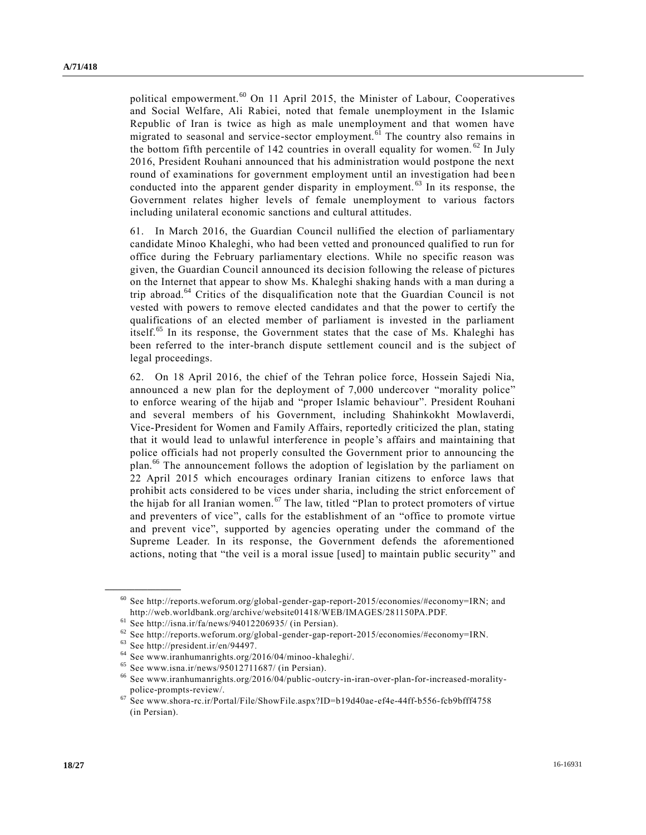political empowerment.<sup>60</sup> On 11 April 2015, the Minister of Labour, Cooperatives and Social Welfare, Ali Rabiei, noted that female unemployment in the Islamic Republic of Iran is twice as high as male unemployment and that women have migrated to seasonal and service-sector employment.<sup>61</sup> The country also remains in the bottom fifth percentile of 142 countries in overall equality for women.  $62$  In July 2016, President Rouhani announced that his administration would postpone the next round of examinations for government employment until an investigation had bee n conducted into the apparent gender disparity in employment. <sup>63</sup> In its response, the Government relates higher levels of female unemployment to various factors including unilateral economic sanctions and cultural attitudes.

61. In March 2016, the Guardian Council nullified the election of parliamentary candidate Minoo Khaleghi, who had been vetted and pronounced qualified to run for office during the February parliamentary elections. While no specific reason was given, the Guardian Council announced its decision following the release of pictures on the Internet that appear to show Ms. Khaleghi shaking hands with a man during a trip abroad.<sup>64</sup> Critics of the disqualification note that the Guardian Council is not vested with powers to remove elected candidates and that the power to certify the qualifications of an elected member of parliament is invested in the parliament itself.<sup>65</sup> In its response, the Government states that the case of Ms. Khaleghi has been referred to the inter-branch dispute settlement council and is the subject of legal proceedings.

62. On 18 April 2016, the chief of the Tehran police force, Hossein Sajedi Nia, announced a new plan for the deployment of 7,000 undercover "morality police" to enforce wearing of the hijab and "proper Islamic behaviour". President Rouhani and several members of his Government, including Shahinkokht Mowlaverdi, Vice-President for Women and Family Affairs, reportedly criticized the plan, stating that it would lead to unlawful interference in people's affairs and maintaining that police officials had not properly consulted the Government prior to announcing the plan.<sup>66</sup> The announcement follows the adoption of legislation by the parliament on 22 April 2015 which encourages ordinary Iranian citizens to enforce laws that prohibit acts considered to be vices under sharia, including the strict enforcement of the hijab for all Iranian women.<sup>67</sup> The law, titled "Plan to protect promoters of virtue" and preventers of vice", calls for the establishment of an "office to promote virtue and prevent vice", supported by agencies operating under the command of the Supreme Leader. In its response, the Government defends the aforementioned actions, noting that "the veil is a moral issue [used] to maintain public security" and

<sup>&</sup>lt;sup>60</sup> See http://reports.weforum.org/global-gender-gap-report-2015/economies/#economy=IRN; and http://web.worldbank.org/archive/website01418/WEB/IMAGES/281150PA.PDF.

 $61$  See http://isna.ir/fa/news/94012206935/ (in Persian).

 $62$  See http://reports.weforum.org/global-gender-gap-report-2015/economies/#economy=IRN.

<sup>63</sup> See http://president.ir/en/94497.

<sup>64</sup> See www.iranhumanrights.org/2016/04/minoo-khaleghi/.

<sup>&</sup>lt;sup>65</sup> See www.isna.ir/news/95012711687/ (in Persian).<br><sup>66</sup> See www.iranbumanrights.org/2016/04/public.out

<sup>66</sup> See www.iranhumanrights.org/2016/04/public-outcry-in-iran-over-plan-for-increased-moralitypolice-prompts-review/.

<sup>67</sup> See www.shora-rc.ir/Portal/File/ShowFile.aspx?ID=b19d40ae-ef4e-44ff-b556-fcb9bfff4758 (in Persian).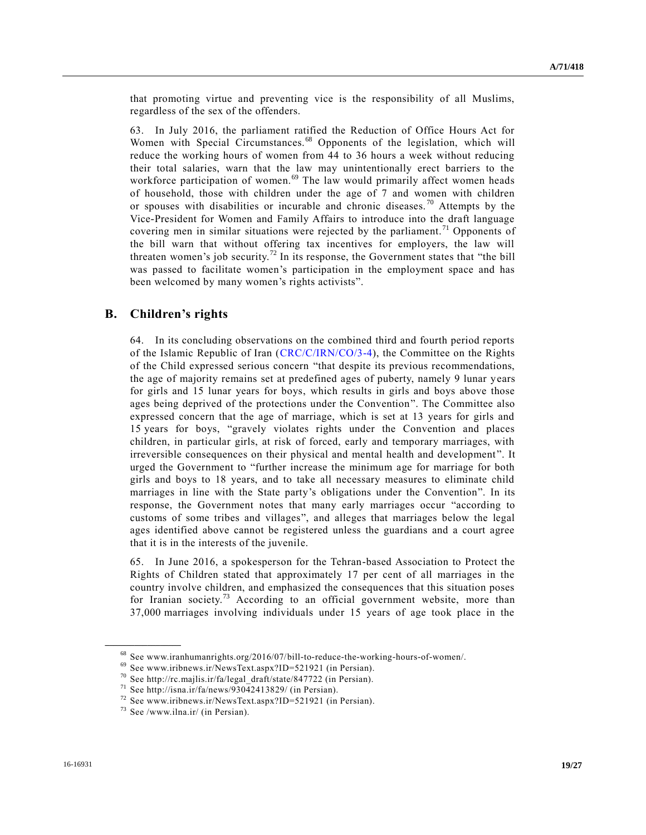that promoting virtue and preventing vice is the responsibility of all Muslims, regardless of the sex of the offenders.

63. In July 2016, the parliament ratified the Reduction of Office Hours Act for Women with Special Circumstances.<sup>68</sup> Opponents of the legislation, which will reduce the working hours of women from 44 to 36 hours a week without reducing their total salaries, warn that the law may unintentionally erect barriers to the workforce participation of women. $69$  The law would primarily affect women heads of household, those with children under the age of 7 and women with children or spouses with disabilities or incurable and chronic diseases.<sup>70</sup> Attempts by the Vice-President for Women and Family Affairs to introduce into the draft language covering men in similar situations were rejected by the parliament.<sup>71</sup> Opponents of the bill warn that without offering tax incentives for employers, the law will threaten women's job security.<sup>72</sup> In its response, the Government states that "the bill was passed to facilitate women's participation in the employment space and has been welcomed by many women's rights activists".

#### **B. Children's rights**

64. In its concluding observations on the combined third and fourth period reports of the Islamic Republic of Iran [\(CRC/C/IRN/CO/3-4\)](http://undocs.org/CRC/C/IRN/CO/3), the Committee on the Rights of the Child expressed serious concern "that despite its previous recommendations, the age of majority remains set at predefined ages of puberty, namely 9 lunar years for girls and 15 lunar years for boys, which results in girls and boys above those ages being deprived of the protections under the Convention". The Committee also expressed concern that the age of marriage, which is set at 13 years for girls and 15 years for boys, "gravely violates rights under the Convention and places children, in particular girls, at risk of forced, early and temporary marriages, with irreversible consequences on their physical and mental health and development ". It urged the Government to "further increase the minimum age for marriage for both girls and boys to 18 years, and to take all necessary measures to eliminate child marriages in line with the State party's obligations under the Convention". In its response, the Government notes that many early marriages occur "according to customs of some tribes and villages", and alleges that marriages below the legal ages identified above cannot be registered unless the guardians and a court agree that it is in the interests of the juvenile.

65. In June 2016, a spokesperson for the Tehran-based Association to Protect the Rights of Children stated that approximately 17 per cent of all marriages in the country involve children, and emphasized the consequences that this situation poses for Iranian society.<sup>73</sup> According to an official government website, more than 37,000 marriages involving individuals under 15 years of age took place in the

<sup>68</sup> See www.iranhumanrights.org/2016/07/bill-to-reduce-the-working-hours-of-women/.

<sup>69</sup> See www.iribnews.ir/NewsText.aspx?ID=521921 (in Persian).

<sup>70</sup> See http://rc.majlis.ir/fa/legal\_draft/state/847722 (in Persian).

 $71$  See http://isna.ir/fa/news/93042413829/ (in Persian).

<sup>72</sup> See www.iribnews.ir/NewsText.aspx?ID=521921 (in Persian).

<sup>73</sup> See /www.ilna.ir/ (in Persian).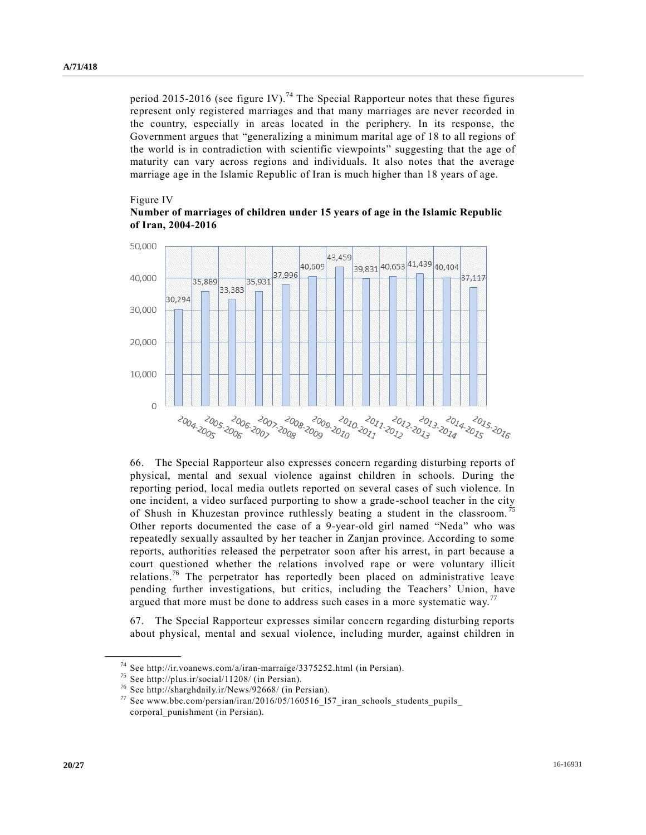period 2015-2016 (see figure IV).<sup>74</sup> The Special Rapporteur notes that these figures represent only registered marriages and that many marriages are never recorded in the country, especially in areas located in the periphery. In its response, the Government argues that "generalizing a minimum marital age of 18 to all regions of the world is in contradiction with scientific viewpoints" suggesting that the age of maturity can vary across regions and individuals. It also notes that the average marriage age in the Islamic Republic of Iran is much higher than 18 years of age.

#### Figure IV





66. The Special Rapporteur also expresses concern regarding disturbing reports of physical, mental and sexual violence against children in schools. During the reporting period, local media outlets reported on several cases of such violence. In one incident, a video surfaced purporting to show a grade-school teacher in the city of Shush in Khuzestan province ruthlessly beating a student in the classroom. Other reports documented the case of a 9-year-old girl named "Neda" who was repeatedly sexually assaulted by her teacher in Zanjan province. According to some reports, authorities released the perpetrator soon after his arrest, in part because a court questioned whether the relations involved rape or were voluntary illicit relations.<sup>76</sup> The perpetrator has reportedly been placed on administrative leave pending further investigations, but critics, including the Teachers' Union, have argued that more must be done to address such cases in a more systematic way.<sup>77</sup>

67. The Special Rapporteur expresses similar concern regarding disturbing reports about physical, mental and sexual violence, including murder, against children in

<sup>74</sup> See http://ir.voanews.com/a/iran-marraige/3375252.html (in Persian).

<sup>75</sup> See http://plus.ir/social/11208/ (in Persian).

<sup>76</sup> See http://sharghdaily.ir/News/92668/ (in Persian).

 $77$  See www.bbc.com/persian/iran/2016/05/160516\_157\_iran\_schools\_students\_pupils\_ corporal\_punishment (in Persian).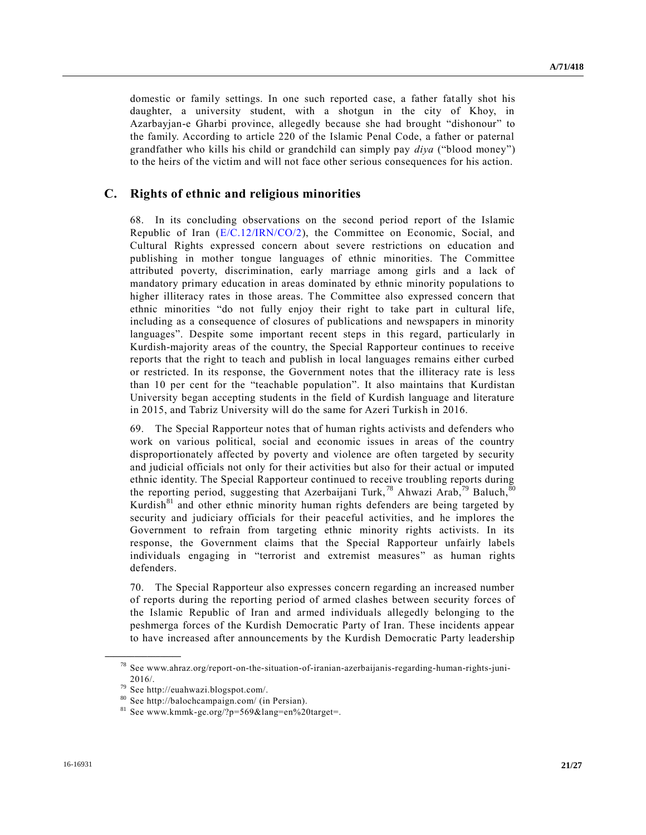domestic or family settings. In one such reported case, a father fatally shot his daughter, a university student, with a shotgun in the city of Khoy, in Azarbayjan-e Gharbi province, allegedly because she had brought "dishonour" to the family. According to article 220 of the Islamic Penal Code, a father or paternal grandfather who kills his child or grandchild can simply pay *diya* ("blood money") to the heirs of the victim and will not face other serious consequences for his action.

## **C. Rights of ethnic and religious minorities**

68. In its concluding observations on the second period report of the Islamic Republic of Iran  $(E/C.12/IRN/CO/2)$ , the Committee on Economic, Social, and Cultural Rights expressed concern about severe restrictions on education and publishing in mother tongue languages of ethnic minorities. The Committee attributed poverty, discrimination, early marriage among girls and a lack of mandatory primary education in areas dominated by ethnic minority populations to higher illiteracy rates in those areas. The Committee also expressed concern that ethnic minorities "do not fully enjoy their right to take part in cultural life, including as a consequence of closures of publications and newspapers in minority languages". Despite some important recent steps in this regard, particularly in Kurdish-majority areas of the country, the Special Rapporteur continues to receive reports that the right to teach and publish in local languages remains either curbed or restricted. In its response, the Government notes that the illiteracy rate is less than 10 per cent for the "teachable population". It also maintains that Kurdistan University began accepting students in the field of Kurdish language and literature in 2015, and Tabriz University will do the same for Azeri Turkish in 2016.

69. The Special Rapporteur notes that of human rights activists and defenders who work on various political, social and economic issues in areas of the country disproportionately affected by poverty and violence are often targeted by security and judicial officials not only for their activities but also for their actual or imputed ethnic identity. The Special Rapporteur continued to receive troubling reports during the reporting period, suggesting that Azerbaijani Turk,<sup>78</sup> Ahwazi Arab,<sup>79</sup> Baluch,<sup>80</sup> Kurdish $81$  and other ethnic minority human rights defenders are being targeted by security and judiciary officials for their peaceful activities, and he implores the Government to refrain from targeting ethnic minority rights activists. In its response, the Government claims that the Special Rapporteur unfairly labels individuals engaging in "terrorist and extremist measures" as human rights defenders.

70. The Special Rapporteur also expresses concern regarding an increased number of reports during the reporting period of armed clashes between security forces of the Islamic Republic of Iran and armed individuals allegedly belonging to the peshmerga forces of the Kurdish Democratic Party of Iran. These incidents appear to have increased after announcements by the Kurdish Democratic Party leadership

<sup>78</sup> See www.ahraz.org/report-on-the-situation-of-iranian-azerbaijanis-regarding-human-rights-juni-2016/.

<sup>79</sup> See http://euahwazi.blogspot.com/.

<sup>80</sup> See http://balochcampaign.com/ (in Persian).

 $81$  See www.kmmk-ge.org/?p=569&lang=en%20target=.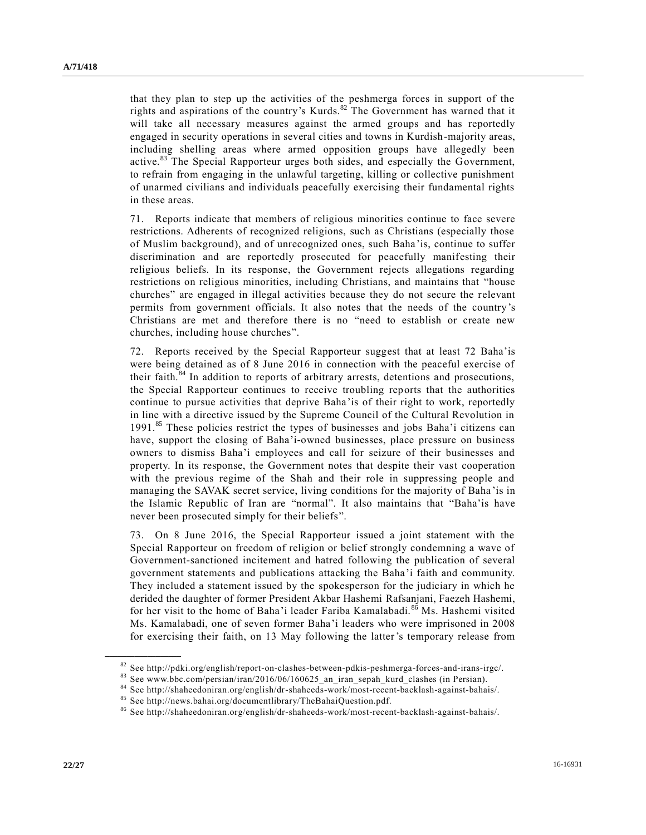that they plan to step up the activities of the peshmerga forces in support of the rights and aspirations of the country's Kurds.<sup>82</sup> The Government has warned that it will take all necessary measures against the armed groups and has reportedly engaged in security operations in several cities and towns in Kurdish-majority areas, including shelling areas where armed opposition groups have allegedly been active.<sup>83</sup> The Special Rapporteur urges both sides, and especially the Government, to refrain from engaging in the unlawful targeting, killing or collective punishment of unarmed civilians and individuals peacefully exercising their fundamental rights in these areas.

71. Reports indicate that members of religious minorities continue to face severe restrictions. Adherents of recognized religions, such as Christians (especially those of Muslim background), and of unrecognized ones, such Baha'is, continue to suffer discrimination and are reportedly prosecuted for peacefully manifesting their religious beliefs. In its response, the Government rejects allegations regarding restrictions on religious minorities, including Christians, and maintains that "house churches" are engaged in illegal activities because they do not secure the relevant permits from government officials. It also notes that the needs of the country's Christians are met and therefore there is no "need to establish or create new churches, including house churches".

72. Reports received by the Special Rapporteur suggest that at least 72 Baha'is were being detained as of 8 June 2016 in connection with the peaceful exercise of their faith.<sup>84</sup> In addition to reports of arbitrary arrests, detentions and prosecutions, the Special Rapporteur continues to receive troubling reports that the authorities continue to pursue activities that deprive Baha'is of their right to work, reportedly in line with a directive issued by the Supreme Council of the Cultural Revolution in 1991.<sup>85</sup> These policies restrict the types of businesses and jobs Baha'i citizens can have, support the closing of Baha'i-owned businesses, place pressure on business owners to dismiss Baha'i employees and call for seizure of their businesses and property. In its response, the Government notes that despite their vast cooperation with the previous regime of the Shah and their role in suppressing people and managing the SAVAK secret service, living conditions for the majority of Baha 'is in the Islamic Republic of Iran are "normal". It also maintains that "Baha'is have never been prosecuted simply for their beliefs".

73. On 8 June 2016, the Special Rapporteur issued a joint statement with the Special Rapporteur on freedom of religion or belief strongly condemning a wave of Government-sanctioned incitement and hatred following the publication of several government statements and publications attacking the Baha'i faith and community. They included a statement issued by the spokesperson for the judiciary in which he derided the daughter of former President Akbar Hashemi Rafsanjani, Faezeh Hashemi, for her visit to the home of Baha'i leader Fariba Kamalabadi.<sup>86</sup> Ms. Hashemi visited Ms. Kamalabadi, one of seven former Baha'i leaders who were imprisoned in 2008 for exercising their faith, on 13 May following the latter's temporary release from

<sup>82</sup> See http://pdki.org/english/report-on-clashes-between-pdkis-peshmerga-forces-and-irans-irgc/.

<sup>83</sup> See www.bbc.com/persian/iran/2016/06/160625\_an\_iran\_sepah\_kurd\_clashes (in Persian).

<sup>84</sup> See http://shaheedoniran.org/english/dr-shaheeds-work/most-recent-backlash-against-bahais/.

<sup>85</sup> See http://news.bahai.org/documentlibrary/TheBahaiQuestion.pdf.

<sup>86</sup> See http://shaheedoniran.org/english/dr-shaheeds-work/most-recent-backlash-against-bahais/.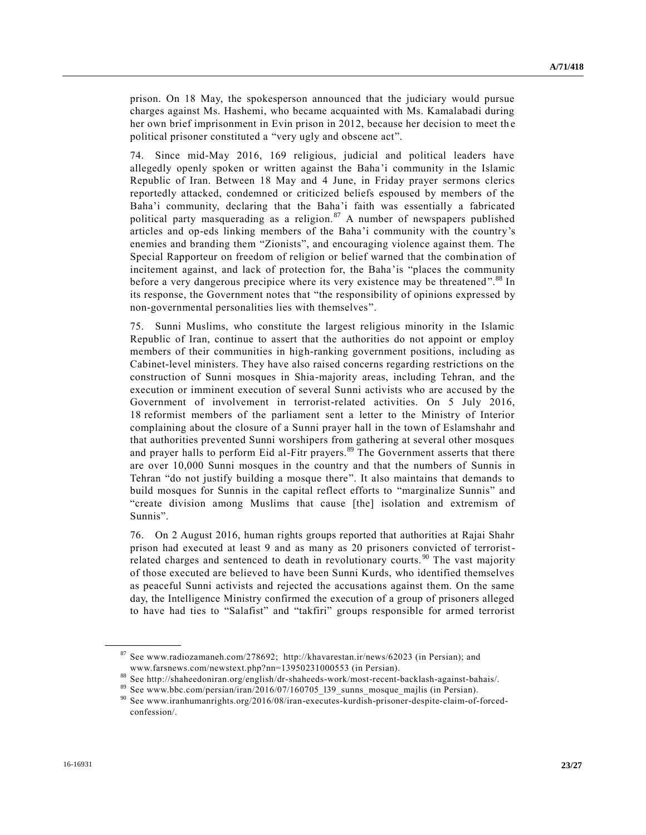prison. On 18 May, the spokesperson announced that the judiciary would pursue charges against Ms. Hashemi, who became acquainted with Ms. Kamalabadi during her own brief imprisonment in Evin prison in 2012, because her decision to meet the political prisoner constituted a "very ugly and obscene act".

74. Since mid-May 2016, 169 religious, judicial and political leaders have allegedly openly spoken or written against the Baha'i community in the Islamic Republic of Iran. Between 18 May and 4 June, in Friday prayer sermons clerics reportedly attacked, condemned or criticized beliefs espoused by members of the Baha'i community, declaring that the Baha'i faith was essentially a fabricated political party masquerading as a religion. $87$  A number of newspapers published articles and op-eds linking members of the Baha'i community with the country's enemies and branding them "Zionists", and encouraging violence against them. The Special Rapporteur on freedom of religion or belief warned that the combination of incitement against, and lack of protection for, the Baha'is "places the community before a very dangerous precipice where its very existence may be threatened".<sup>88</sup> In its response, the Government notes that "the responsibility of opinions expressed by non-governmental personalities lies with themselves".

75. Sunni Muslims, who constitute the largest religious minority in the Islamic Republic of Iran, continue to assert that the authorities do not appoint or employ members of their communities in high-ranking government positions, including as Cabinet-level ministers. They have also raised concerns regarding restrictions on the construction of Sunni mosques in Shia-majority areas, including Tehran, and the execution or imminent execution of several Sunni activists who are accused by the Government of involvement in terrorist-related activities. On 5 July 2016, 18 reformist members of the parliament sent a letter to the Ministry of Interior complaining about the closure of a Sunni prayer hall in the town of Eslamshahr and that authorities prevented Sunni worshipers from gathering at several other mosques and prayer halls to perform Eid al-Fitr prayers.<sup>89</sup> The Government asserts that there are over 10,000 Sunni mosques in the country and that the numbers of Sunnis in Tehran "do not justify building a mosque there". It also maintains that demands to build mosques for Sunnis in the capital reflect efforts to "marginalize Sunnis" and "create division among Muslims that cause [the] isolation and extremism of Sunnis".

76. On 2 August 2016, human rights groups reported that authorities at Rajai Shahr prison had executed at least 9 and as many as 20 prisoners convicted of terroristrelated charges and sentenced to death in revolutionary courts.<sup>90</sup> The vast majority of those executed are believed to have been Sunni Kurds, who identified themselves as peaceful Sunni activists and rejected the accusations against them. On the same day, the Intelligence Ministry confirmed the execution of a group of prisoners alleged to have had ties to "Salafist" and "takfiri" groups responsible for armed terrorist

<sup>87</sup> See www.radiozamaneh.com/278692; http://khavarestan.ir/news/62023 (in Persian); and www.farsnews.com/newstext.php?nn=13950231000553 (in Persian).

<sup>88</sup> See http://shaheedoniran.org/english/dr-shaheeds-work/most-recent-backlash-against-bahais/.

<sup>89</sup> See www.bbc.com/persian/iran/2016/07/160705\_l39\_sunns\_mosque\_majlis (in Persian).

<sup>90</sup> See www.iranhumanrights.org/2016/08/iran-executes-kurdish-prisoner-despite-claim-of-forcedconfession/.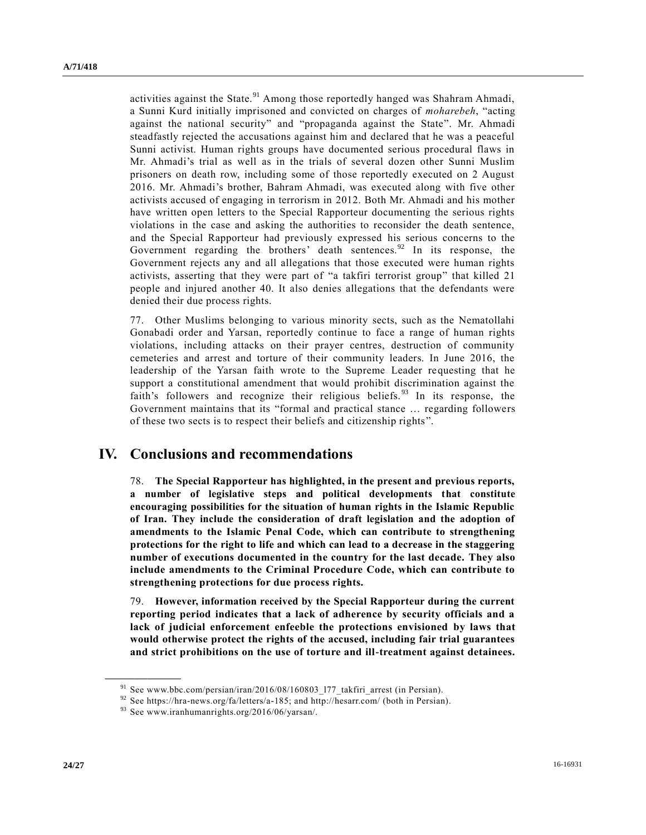activities against the State.<sup>91</sup> Among those reportedly hanged was Shahram Ahmadi, a Sunni Kurd initially imprisoned and convicted on charges of *moharebeh*, "acting against the national security" and "propaganda against the State". Mr. Ahmadi steadfastly rejected the accusations against him and declared that he was a peaceful Sunni activist. Human rights groups have documented serious procedural flaws in Mr. Ahmadi's trial as well as in the trials of several dozen other Sunni Muslim prisoners on death row, including some of those reportedly executed on 2 August 2016. Mr. Ahmadi's brother, Bahram Ahmadi, was executed along with five other activists accused of engaging in terrorism in 2012. Both Mr. Ahmadi and his mother have written open letters to the Special Rapporteur documenting the serious rights violations in the case and asking the authorities to reconsider the death sentence, and the Special Rapporteur had previously expressed his serious concerns to the Government regarding the brothers' death sentences. $92$  In its response, the Government rejects any and all allegations that those executed were human rights activists, asserting that they were part of "a takfiri terrorist group" that killed 21 people and injured another 40. It also denies allegations that the defendants were denied their due process rights.

77. Other Muslims belonging to various minority sects, such as the Nematollahi Gonabadi order and Yarsan, reportedly continue to face a range of human rights violations, including attacks on their prayer centres, destruction of community cemeteries and arrest and torture of their community leaders. In June 2016, the leadership of the Yarsan faith wrote to the Supreme Leader requesting that he support a constitutional amendment that would prohibit discrimination against the faith's followers and recognize their religious beliefs.<sup>93</sup> In its response, the Government maintains that its "formal and practical stance … regarding followers of these two sects is to respect their beliefs and citizenship rights ".

# **IV. Conclusions and recommendations**

78. **The Special Rapporteur has highlighted, in the present and previous reports, a number of legislative steps and political developments that constitute encouraging possibilities for the situation of human rights in the Islamic Republic of Iran. They include the consideration of draft legislation and the adoption of amendments to the Islamic Penal Code, which can contribute to strengthening protections for the right to life and which can lead to a decrease in the staggering number of executions documented in the country for the last decade. They also include amendments to the Criminal Procedure Code, which can contribute to strengthening protections for due process rights.**

79. **However, information received by the Special Rapporteur during the current reporting period indicates that a lack of adherence by security officials and a lack of judicial enforcement enfeeble the protections envisioned by laws that would otherwise protect the rights of the accused, including fair trial guarantees and strict prohibitions on the use of torture and ill-treatment against detainees.**

<sup>&</sup>lt;sup>91</sup> See www.bbc.com/persian/iran/2016/08/160803\_177\_takfiri\_arrest (in Persian).

<sup>92</sup> See https://hra-news.org/fa/letters/a-185; and http://hesarr.com/ (both in Persian).

<sup>93</sup> See www.iranhumanrights.org/2016/06/yarsan/.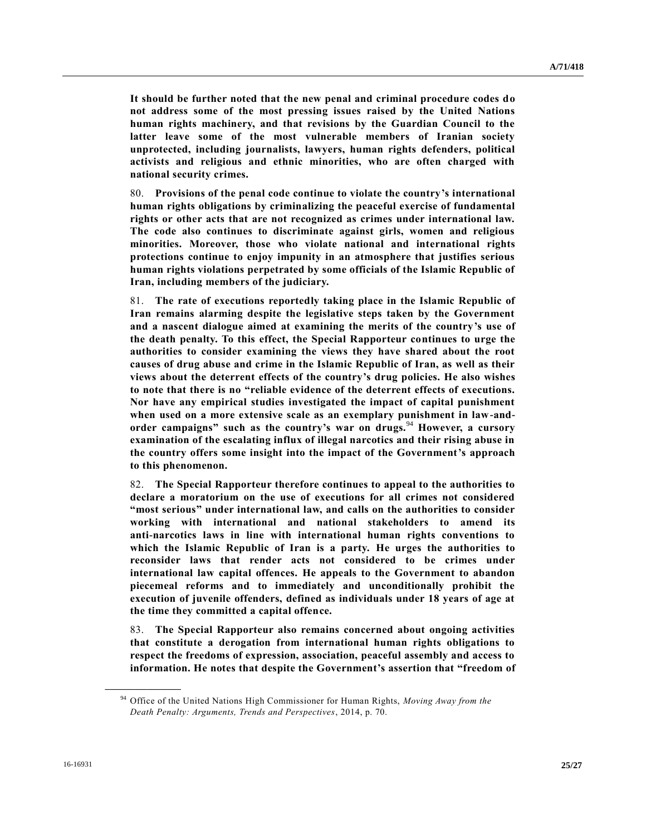**It should be further noted that the new penal and criminal procedure codes do not address some of the most pressing issues raised by the United Nations human rights machinery, and that revisions by the Guardian Council to the latter leave some of the most vulnerable members of Iranian society unprotected, including journalists, lawyers, human rights defenders, political activists and religious and ethnic minorities, who are often charged with national security crimes.**

80. **Provisions of the penal code continue to violate the country's international human rights obligations by criminalizing the peaceful exercise of fundamental rights or other acts that are not recognized as crimes under international law. The code also continues to discriminate against girls, women and religious minorities. Moreover, those who violate national and international rights protections continue to enjoy impunity in an atmosphere that justifies serious human rights violations perpetrated by some officials of the Islamic Republic of Iran, including members of the judiciary.**

81. **The rate of executions reportedly taking place in the Islamic Republic of Iran remains alarming despite the legislative steps taken by the Government and a nascent dialogue aimed at examining the merits of the country's use of the death penalty. To this effect, the Special Rapporteur continues to urge the authorities to consider examining the views they have shared about the root causes of drug abuse and crime in the Islamic Republic of Iran, as well as their views about the deterrent effects of the country's drug policies. He also wishes to note that there is no "reliable evidence of the deterrent effects of executions. Nor have any empirical studies investigated the impact of capital punishment when used on a more extensive scale as an exemplary punishment in law-andorder campaigns" such as the country's war on drugs.**<sup>94</sup> **However, a cursory examination of the escalating influx of illegal narcotics and their rising abuse in the country offers some insight into the impact of the Government's approach to this phenomenon.**

82. **The Special Rapporteur therefore continues to appeal to the authorities to declare a moratorium on the use of executions for all crimes not considered "most serious" under international law, and calls on the authorities to consider working with international and national stakeholders to amend its anti-narcotics laws in line with international human rights conventions to which the Islamic Republic of Iran is a party. He urges the authorities to reconsider laws that render acts not considered to be crimes under international law capital offences. He appeals to the Government to abandon piecemeal reforms and to immediately and unconditionally prohibit the execution of juvenile offenders, defined as individuals under 18 years of age at the time they committed a capital offence.**

83. **The Special Rapporteur also remains concerned about ongoing activities that constitute a derogation from international human rights obligations to respect the freedoms of expression, association, peaceful assembly and access to information. He notes that despite the Government's assertion that "freedom of** 

<sup>94</sup> Office of the United Nations High Commissioner for Human Rights, *Moving Away from the Death Penalty: Arguments, Trends and Perspectives*, 2014, p. 70.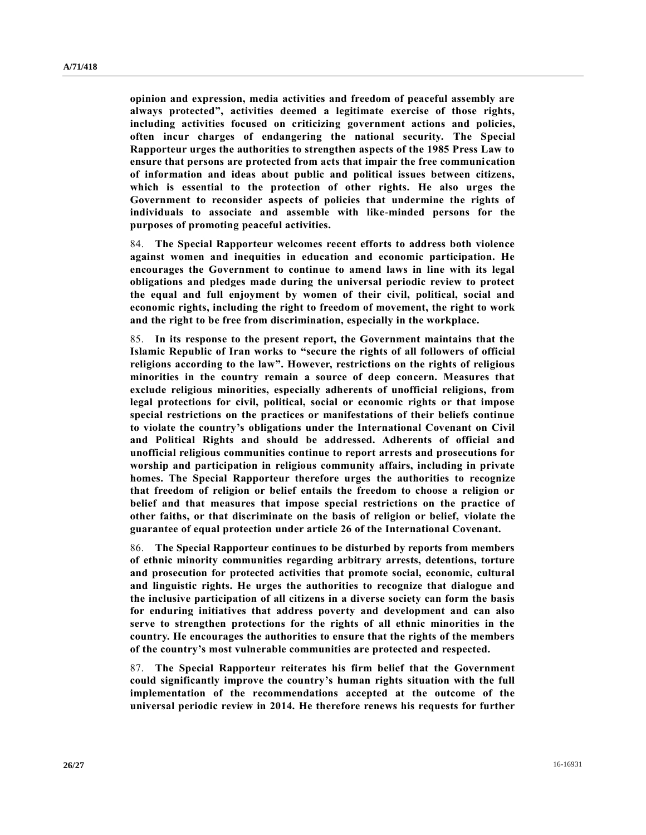**opinion and expression, media activities and freedom of peaceful assembly are always protected", activities deemed a legitimate exercise of those rights, including activities focused on criticizing government actions and policies, often incur charges of endangering the national security. The Special Rapporteur urges the authorities to strengthen aspects of the 1985 Press Law to ensure that persons are protected from acts that impair the free communication of information and ideas about public and political issues between citizens, which is essential to the protection of other rights. He also urges the Government to reconsider aspects of policies that undermine the rights of individuals to associate and assemble with like-minded persons for the purposes of promoting peaceful activities.**

84. **The Special Rapporteur welcomes recent efforts to address both violence against women and inequities in education and economic participation. He encourages the Government to continue to amend laws in line with its legal obligations and pledges made during the universal periodic review to protect the equal and full enjoyment by women of their civil, political, social and economic rights, including the right to freedom of movement, the right to work and the right to be free from discrimination, especially in the workplace.** 

85. **In its response to the present report, the Government maintains that the Islamic Republic of Iran works to "secure the rights of all followers of official religions according to the law". However, restrictions on the rights of religious minorities in the country remain a source of deep concern. Measures that exclude religious minorities, especially adherents of unofficial religions, from legal protections for civil, political, social or economic rights or that impose special restrictions on the practices or manifestations of their beliefs continue to violate the country's obligations under the International Covenant on Civil and Political Rights and should be addressed. Adherents of official and unofficial religious communities continue to report arrests and prosecutions for worship and participation in religious community affairs, including in private homes. The Special Rapporteur therefore urges the authorities to recognize that freedom of religion or belief entails the freedom to choose a religion or belief and that measures that impose special restrictions on the practice of other faiths, or that discriminate on the basis of religion or belief, violate the guarantee of equal protection under article 26 of the International Covenant.** 

86. **The Special Rapporteur continues to be disturbed by reports from members of ethnic minority communities regarding arbitrary arrests, detentions, torture and prosecution for protected activities that promote social, economic, cultural and linguistic rights. He urges the authorities to recognize that dialogue and the inclusive participation of all citizens in a diverse society can form the basis for enduring initiatives that address poverty and development and can also serve to strengthen protections for the rights of all ethnic minorities in the country. He encourages the authorities to ensure that the rights of the members of the country's most vulnerable communities are protected and respected.** 

87. **The Special Rapporteur reiterates his firm belief that the Government could significantly improve the country's human rights situation with the full implementation of the recommendations accepted at the outcome of the universal periodic review in 2014. He therefore renews his requests for further**